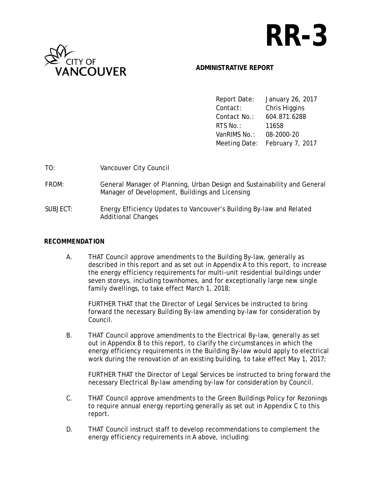# **RR-3**



#### **ADMINISTRATIVE REPORT**

 Report Date: January 26, 2017 Contact: Chris Higgins Contact No.: 604.871.6288 RTS No.: 11658 VanRIMS No.: 08-2000-20 Meeting Date: February 7, 2017

| TO:      | Vancouver City Council                                                                                                      |
|----------|-----------------------------------------------------------------------------------------------------------------------------|
| FROM:    | General Manager of Planning, Urban Design and Sustainability and General<br>Manager of Development, Buildings and Licensing |
| SUBJECT: | Energy Efficiency Updates to Vancouver's Building By-law and Related<br><b>Additional Changes</b>                           |

#### *RECOMMENDATION*

A. THAT Council approve amendments to the Building By-law, generally as described in this report and as set out in Appendix A to this report, to increase the energy efficiency requirements for multi-unit residential buildings under seven storeys, including townhomes, and for exceptionally large new single family dwellings, to take effect March 1, 2018;

FURTHER THAT that the Director of Legal Services be instructed to bring forward the necessary Building By-law amending by-law for consideration by Council.

B. THAT Council approve amendments to the Electrical By-law, generally as set out in Appendix B to this report, to clarify the circumstances in which the energy efficiency requirements in the Building By-law would apply to electrical work during the renovation of an existing building, to take effect May 1, 2017;

FURTHER THAT the Director of Legal Services be instructed to bring forward the necessary Electrical By-law amending by-law for consideration by Council.

- C. THAT Council approve amendments to the Green Buildings Policy for Rezonings to require annual energy reporting generally as set out in Appendix C to this report.
- D. THAT Council instruct staff to develop recommendations to complement the energy efficiency requirements in A above, including: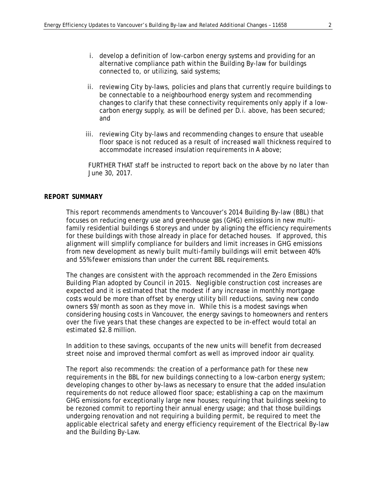- i. develop a definition of low-carbon energy systems and providing for an alternative compliance path within the Building By-law for buildings connected to, or utilizing, said systems;
- ii. reviewing City by-laws, policies and plans that currently require buildings to be connectable to a neighbourhood energy system and recommending changes to clarify that these connectivity requirements only apply if a lowcarbon energy supply, as will be defined per D.i. above, has been secured; and
- iii. reviewing City by-laws and recommending changes to ensure that useable floor space is not reduced as a result of increased wall thickness required to accommodate increased insulation requirements in A above;

FURTHER THAT staff be instructed to report back on the above by no later than June 30, 2017.

#### *REPORT SUMMARY*

 This report recommends amendments to Vancouver's 2014 Building By-law (BBL) that focuses on reducing energy use and greenhouse gas (GHG) emissions in new multifamily residential buildings 6 storeys and under by aligning the efficiency requirements for these buildings with those already in place for detached houses. If approved, this alignment will simplify compliance for builders and limit increases in GHG emissions from new development as newly built multi-family buildings will emit between 40% and 55% fewer emissions than under the current BBL requirements.

 The changes are consistent with the approach recommended in the Zero Emissions Building Plan adopted by Council in 2015. Negligible construction cost increases are expected and it is estimated that the modest if any increase in monthly mortgage costs would be more than offset by energy utility bill reductions, saving new condo owners \$9/month as soon as they move in. While this is a modest savings when considering housing costs in Vancouver, the energy savings to homeowners and renters over the five years that these changes are expected to be in-effect would total an estimated \$2.8 million.

In addition to these savings, occupants of the new units will benefit from decreased street noise and improved thermal comfort as well as improved indoor air quality.

The report also recommends: the creation of a performance path for these new requirements in the BBL for new buildings connecting to a low-carbon energy system; developing changes to other by-laws as necessary to ensure that the added insulation requirements do not reduce allowed floor space; establishing a cap on the maximum GHG emissions for exceptionally large new houses; requiring that buildings seeking to be rezoned commit to reporting their annual energy usage; and that those buildings undergoing renovation and not requiring a building permit, be required to meet the applicable electrical safety and energy efficiency requirement of the Electrical By-law and the Building By-Law.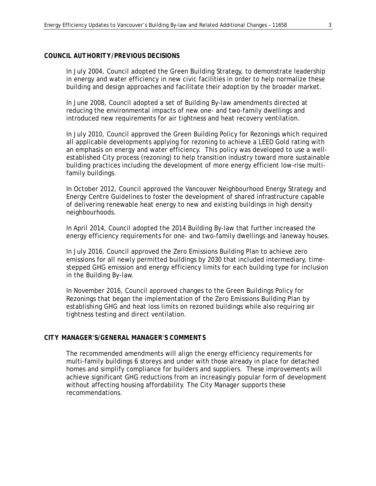#### *COUNCIL AUTHORITY/PREVIOUS DECISIONS*

In July 2004, Council adopted the Green Building Strategy, to demonstrate leadership in energy and water efficiency in new civic facilities in order to help normalize these building and design approaches and facilitate their adoption by the broader market.

In June 2008, Council adopted a set of Building By-law amendments directed at reducing the environmental impacts of new one- and two-family dwellings and introduced new requirements for air tightness and heat recovery ventilation.

In July 2010, Council approved the Green Building Policy for Rezonings which required all applicable developments applying for rezoning to achieve a LEED Gold rating with an emphasis on energy and water efficiency. This policy was developed to use a wellestablished City process (rezoning) to help transition industry toward more sustainable building practices including the development of more energy efficient low-rise multifamily buildings.

In October 2012, Council approved the Vancouver Neighbourhood Energy Strategy and Energy Centre Guidelines to foster the development of shared infrastructure capable of delivering renewable heat energy to new and existing buildings in high density neighbourhoods.

In April 2014, Council adopted the 2014 Building By-law that further increased the energy efficiency requirements for one- and two-family dwellings and laneway houses.

In July 2016, Council approved the Zero Emissions Building Plan to achieve zero emissions for all newly permitted buildings by 2030 that included intermediary, timestepped GHG emission and energy efficiency limits for each building type for inclusion in the Building By-law.

In November 2016, Council approved changes to the Green Buildings Policy for Rezonings that began the implementation of the Zero Emissions Building Plan by establishing GHG and heat loss limits on rezoned buildings while also requiring air tightness testing and direct ventilation.

#### *CITY MANAGER'S/GENERAL MANAGER'S COMMENTS*

 The recommended amendments will align the energy efficiency requirements for multi-family buildings 6 storeys and under with those already in place for detached homes and simplify compliance for builders and suppliers. These improvements will achieve significant GHG reductions from an increasingly popular form of development without affecting housing affordability. The City Manager supports these recommendations.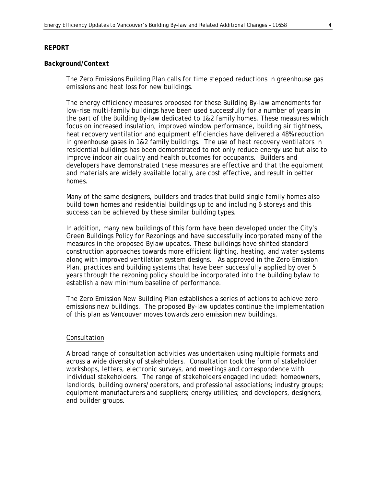#### *Background/Context*

The Zero Emissions Building Plan calls for time stepped reductions in greenhouse gas emissions and heat loss for new buildings.

The energy efficiency measures proposed for these Building By-law amendments for low-rise multi-family buildings have been used successfully for a number of years in the part of the Building By-law dedicated to 1&2 family homes. These measures which focus on increased insulation, improved window performance, building air tightness, heat recovery ventilation and equipment efficiencies have delivered a 48% reduction in greenhouse gases in 1&2 family buildings. The use of heat recovery ventilators in residential buildings has been demonstrated to not only reduce energy use but also to improve indoor air quality and health outcomes for occupants. Builders and developers have demonstrated these measures are effective and that the equipment and materials are widely available locally, are cost effective, and result in better homes.

Many of the same designers, builders and trades that build single family homes also build town homes and residential buildings up to and including 6 storeys and this success can be achieved by these similar building types.

In addition, many new buildings of this form have been developed under the City's Green Buildings Policy for Rezonings and have successfully incorporated many of the measures in the proposed Bylaw updates. These buildings have shifted standard construction approaches towards more efficient lighting, heating, and water systems along with improved ventilation system designs. As approved in the Zero Emission Plan, practices and building systems that have been successfully applied by over 5 years through the rezoning policy should be incorporated into the building bylaw to establish a new minimum baseline of performance.

The Zero Emission New Building Plan establishes a series of actions to achieve zero emissions new buildings. The proposed By-law updates continue the implementation of this plan as Vancouver moves towards zero emission new buildings.

#### Consultation

A broad range of consultation activities was undertaken using multiple formats and across a wide diversity of stakeholders. Consultation took the form of stakeholder workshops, letters, electronic surveys, and meetings and correspondence with individual stakeholders. The range of stakeholders engaged included: homeowners, landlords, building owners/operators, and professional associations; industry groups; equipment manufacturers and suppliers; energy utilities; and developers, designers, and builder groups.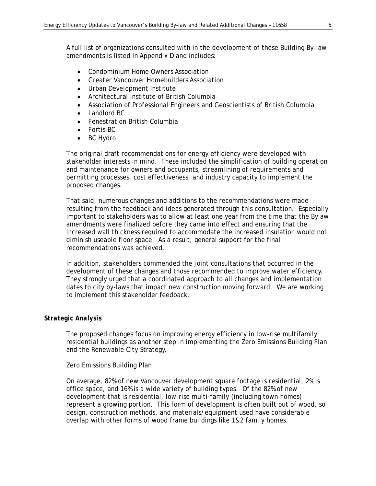A full list of organizations consulted with in the development of these Building By-law amendments is listed in Appendix D and includes:

- Condominium Home Owners Association
- Greater Vancouver Homebuilders Association
- Urban Development Institute
- Architectural Institute of British Columbia
- Association of Professional Engineers and Geoscientists of British Columbia
- Landlord BC
- Fenestration British Columbia
- Fortis BC
- BC Hydro

The original draft recommendations for energy efficiency were developed with stakeholder interests in mind. These included the simplification of building operation and maintenance for owners and occupants, streamlining of requirements and permitting processes, cost effectiveness, and industry capacity to implement the proposed changes.

That said, numerous changes and additions to the recommendations were made resulting from the feedback and ideas generated through this consultation. Especially important to stakeholders was to allow at least one year from the time that the Bylaw amendments were finalized before they came into effect and ensuring that the increased wall thickness required to accommodate the increased insulation would not diminish useable floor space. As a result, general support for the final recommendations was achieved.

In addition, stakeholders commended the joint consultations that occurred in the development of these changes and those recommended to improve water efficiency. They strongly urged that a coordinated approach to all changes and implementation dates to city by-laws that impact new construction moving forward. We are working to implement this stakeholder feedback.

#### *Strategic Analysis*

The proposed changes focus on improving energy efficiency in low-rise multifamily residential buildings as another step in implementing the Zero Emissions Building Plan and the Renewable City Strategy.

#### Zero Emissions Building Plan

On average, 82% of new Vancouver development square footage is residential, 2% is office space, and 16% is a wide variety of building types. Of the 82% of new development that is residential, low-rise multi-family (including town homes) represent a growing portion. This form of development is often built out of wood, so design, construction methods, and materials/equipment used have considerable overlap with other forms of wood frame buildings like 1&2 family homes.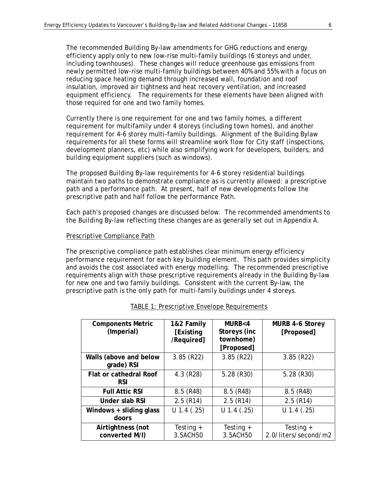The recommended Building By-law amendments for GHG reductions and energy efficiency apply only to new low-rise multi-family buildings (6 storeys and under, including townhouses). These changes will reduce greenhouse gas emissions from newly permitted low-rise multi-family buildings between 40% and 55% with a focus on reducing space heating demand through increased wall, foundation and roof insulation, improved air tightness and heat recovery ventilation, and increased equipment efficiency. The requirements for these elements have been aligned with those required for one and two family homes.

Currently there is one requirement for one and two family homes, a different requirement for multifamily under 4 storeys (including town homes), and another requirement for 4-6 storey multi-family buildings. Alignment of the Building Bylaw requirements for all these forms will streamline work flow for City staff (inspections, development planners, etc) while also simplifying work for developers, builders, and building equipment suppliers (such as windows).

The proposed Building By-law requirements for 4-6 storey residential buildings maintain two paths to demonstrate compliance as is currently allowed: a prescriptive path and a performance path. At present, half of new developments follow the prescriptive path and half follow the performance Path.

Each path's proposed changes are discussed below. The recommended amendments to the Building By-law reflecting these changes are as generally set out in Appendix A.

#### Prescriptive Compliance Path

The prescriptive compliance path establishes clear minimum energy efficiency performance requirement for each key building element. This path provides simplicity and avoids the cost associated with energy modelling. The recommended prescriptive requirements align with those prescriptive requirements already in the Building By-law for new one and two family buildings. Consistent with the current By-law, the prescriptive path is the only path for multi-family buildings under 4 storeys.

| <b>Components Metric</b><br>(Imperial)      | 1&2 Family<br>[Existing]<br>/Required] | MURB < 4<br>Storeys (inc<br>townhome)<br>[Proposed] | MURB 4-6 Storey<br>[Proposed]       |
|---------------------------------------------|----------------------------------------|-----------------------------------------------------|-------------------------------------|
| Walls (above and below<br>grade) RSI        | $3.85$ (R22)                           | $3.85$ (R22)                                        | $3.85$ (R22)                        |
| <b>Flat or cathedral Roof</b><br><b>RSI</b> | $4.3$ (R28)                            | $5.28$ (R30)                                        | $5.28$ (R30)                        |
| <b>Full Attic RSI</b>                       | 8.5(R48)                               | $8.5$ (R48)                                         | $8.5$ (R48)                         |
| Under slab RSI                              | 2.5(R14)                               | $2.5$ (R14)                                         | $2.5$ (R14)                         |
| Windows + sliding glass<br>doors            | $U$ 1.4 (.25)                          | $U$ 1.4 (.25)                                       | $U$ 1.4 (.25)                       |
| Airtightness (not<br>converted M/I)         | Testing $+$<br>3.5ACH50                | Testing $+$<br>3.5ACH50                             | Testing $+$<br>2.0/liters/second/m2 |

#### TABLE 1: Prescriptive Envelope Requirements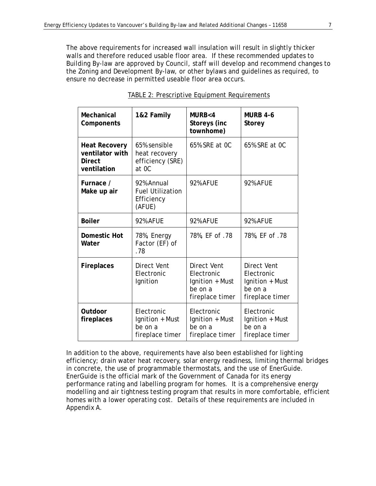The above requirements for increased wall insulation will result in slightly thicker walls and therefore reduced usable floor area. If these recommended updates to Building By-law are approved by Council, staff will develop and recommend changes to the Zoning and Development By-law, or other bylaws and guidelines as required, to ensure no decrease in permitted useable floor area occurs.

| Mechanical<br>Components                                                | 1&2 Family                                                    | MURB <sub>4</sub><br>Storeys (inc<br>townhome)                             | <b>MURB 4-6</b><br>Storey                                                  |
|-------------------------------------------------------------------------|---------------------------------------------------------------|----------------------------------------------------------------------------|----------------------------------------------------------------------------|
| <b>Heat Recovery</b><br>ventilator with<br><b>Direct</b><br>ventilation | 65% sensible<br>heat recovery<br>efficiency (SRE)<br>at OC    | 65% SRE at OC                                                              | 65% SRE at OC                                                              |
| Furnace /<br>Make up air                                                | 92% Annual<br><b>Fuel Utilization</b><br>Efficiency<br>(AFUE) | <b>92% AFUE</b>                                                            | <b>92% AFUE</b>                                                            |
| <b>Boiler</b>                                                           | <b>92% AFUE</b>                                               | <b>92% AFUE</b>                                                            | <b>92% AFUE</b>                                                            |
| <b>Domestic Hot</b><br>Water                                            | 78%, Energy<br>Factor (EF) of<br>.78                          | 78%, EF of .78                                                             | 78%, EF of .78                                                             |
| <b>Fireplaces</b>                                                       | Direct Vent<br>Electronic<br>Ignition                         | Direct Vent<br>Electronic<br>Ignition + Must<br>be on a<br>fireplace timer | Direct Vent<br>Electronic<br>Ignition + Must<br>be on a<br>fireplace timer |
| Outdoor<br>fireplaces                                                   | Electronic<br>Ignition + Must<br>be on a<br>fireplace timer   | Electronic<br>Ignition + Must<br>be on a<br>fireplace timer                | Electronic<br>Ignition + Must<br>be on a<br>fireplace timer                |

#### TABLE 2: Prescriptive Equipment Requirements

In addition to the above, requirements have also been established for lighting efficiency; drain water heat recovery, solar energy readiness, limiting thermal bridges in concrete, the use of programmable thermostats, and the use of EnerGuide. EnerGuide is the official mark of the Government of Canada for its energy performance rating and labelling program for homes. It is a comprehensive energy modelling and air tightness testing program that results in more comfortable, efficient homes with a lower operating cost. Details of these requirements are included in Appendix A.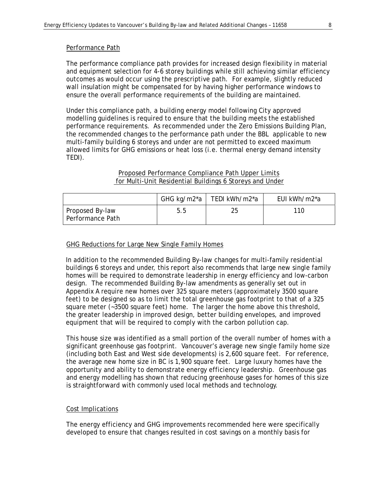#### Performance Path

The performance compliance path provides for increased design flexibility in material and equipment selection for 4-6 storey buildings while still achieving similar efficiency outcomes as would occur using the prescriptive path. For example, slightly reduced wall insulation might be compensated for by having higher performance windows to ensure the overall performance requirements of the building are maintained.

Under this compliance path, a building energy model following City approved modelling guidelines is required to ensure that the building meets the established performance requirements. As recommended under the Zero Emissions Building Plan, the recommended changes to the performance path under the BBL applicable to new multi-family building 6 storeys and under are not permitted to exceed maximum allowed limits for GHG emissions or heat loss (i.e. thermal energy demand intensity TEDI).

#### Proposed Performance Compliance Path Upper Limits for Multi-Unit Residential Buildings 6 Storeys and Under

|                                     |     | GHG kg/m2*a   TEDI kWh/m2*a | EUI kWh/m2*a |
|-------------------------------------|-----|-----------------------------|--------------|
| Proposed By-law<br>Performance Path | 5.5 |                             | 110          |

#### GHG Reductions for Large New Single Family Homes

In addition to the recommended Building By-law changes for multi-family residential buildings 6 storeys and under, this report also recommends that large new single family homes will be required to demonstrate leadership in energy efficiency and low-carbon design. The recommended Building By-law amendments as generally set out in Appendix A require new homes over 325 square meters (approximately 3500 square feet) to be designed so as to limit the total greenhouse gas footprint to that of a 325 square meter (~3500 square feet) home. The larger the home above this threshold, the greater leadership in improved design, better building envelopes, and improved equipment that will be required to comply with the carbon pollution cap.

This house size was identified as a small portion of the overall number of homes with a significant greenhouse gas footprint. Vancouver's average new single family home size (including both East and West side developments) is 2,600 square feet. For reference, the average new home size in BC is 1,900 square feet. Large luxury homes have the opportunity and ability to demonstrate energy efficiency leadership. Greenhouse gas and energy modelling has shown that reducing greenhouse gases for homes of this size is straightforward with commonly used local methods and technology.

#### Cost Implications

The energy efficiency and GHG improvements recommended here were specifically developed to ensure that changes resulted in cost savings on a monthly basis for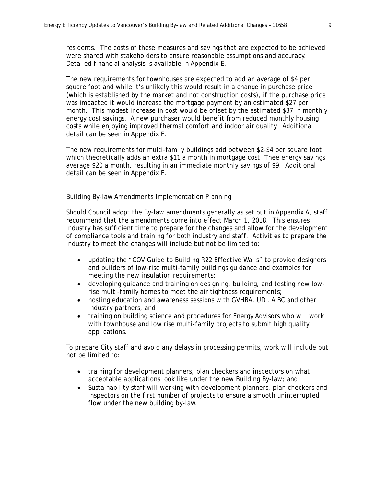residents. The costs of these measures and savings that are expected to be achieved were shared with stakeholders to ensure reasonable assumptions and accuracy. Detailed financial analysis is available in Appendix E.

The new requirements for townhouses are expected to add an average of \$4 per square foot and while it's unlikely this would result in a change in purchase price (which is established by the market and not construction costs), if the purchase price was impacted it would increase the mortgage payment by an estimated \$27 per month. This modest increase in cost would be offset by the estimated \$37 in monthly energy cost savings. A new purchaser would benefit from reduced monthly housing costs while enjoying improved thermal comfort and indoor air quality. Additional detail can be seen in Appendix E.

The new requirements for multi-family buildings add between \$2-\$4 per square foot which theoretically adds an extra \$11 a month in mortgage cost. Thee energy savings average \$20 a month, resulting in an immediate monthly savings of \$9. Additional detail can be seen in Appendix E.

#### Building By-law Amendments Implementation Planning

Should Council adopt the By-law amendments generally as set out in Appendix A, staff recommend that the amendments come into effect March 1, 2018. This ensures industry has sufficient time to prepare for the changes and allow for the development of compliance tools and training for both industry and staff. Activities to prepare the industry to meet the changes will include but not be limited to:

- updating the "COV Guide to Building R22 Effective Walls" to provide designers and builders of low-rise multi-family buildings guidance and examples for meeting the new insulation requirements;
- developing guidance and training on designing, building, and testing new lowrise multi-family homes to meet the air tightness requirements;
- hosting education and awareness sessions with GVHBA, UDI, AIBC and other industry partners; and
- training on building science and procedures for Energy Advisors who will work with townhouse and low rise multi-family projects to submit high quality applications.

To prepare City staff and avoid any delays in processing permits, work will include but not be limited to:

- training for development planners, plan checkers and inspectors on what acceptable applications look like under the new Building By-law; and
- Sustainability staff will working with development planners, plan checkers and inspectors on the first number of projects to ensure a smooth uninterrupted flow under the new building by-law.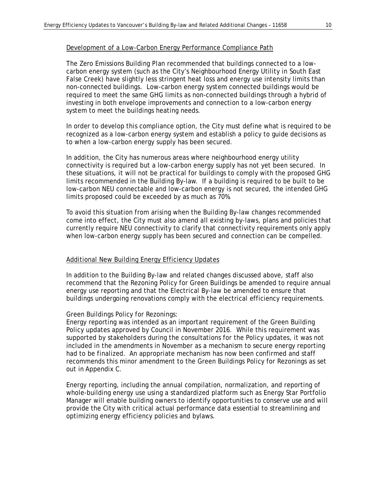#### Development of a Low-Carbon Energy Performance Compliance Path

The Zero Emissions Building Plan recommended that buildings connected to a lowcarbon energy system (such as the City's Neighbourhood Energy Utility in South East False Creek) have slightly less stringent heat loss and energy use intensity limits than non-connected buildings. Low-carbon energy system connected buildings would be required to meet the same GHG limits as non-connected buildings through a hybrid of investing in both envelope improvements and connection to a low-carbon energy system to meet the buildings heating needs.

In order to develop this compliance option, the City must define what is required to be recognized as a low-carbon energy system and establish a policy to guide decisions as to when a low-carbon energy supply has been secured.

In addition, the City has numerous areas where neighbourhood energy utility connectivity is required but a low-carbon energy supply has not yet been secured. In these situations, it will not be practical for buildings to comply with the proposed GHG limits recommended in the Building By-law. If a building is required to be built to be low-carbon NEU connectable and low-carbon energy is not secured, the intended GHG limits proposed could be exceeded by as much as 70%.

To avoid this situation from arising when the Building By-law changes recommended come into effect, the City must also amend all existing by-laws, plans and policies that currently require NEU connectivity to clarify that connectivity requirements only apply when low-carbon energy supply has been secured and connection can be compelled.

#### Additional New Building Energy Efficiency Updates

In addition to the Building By-law and related changes discussed above, staff also recommend that the Rezoning Policy for Green Buildings be amended to require annual energy use reporting and that the Electrical By-law be amended to ensure that buildings undergoing renovations comply with the electrical efficiency requirements.

#### Green Buildings Policy for Rezonings:

Energy reporting was intended as an important requirement of the Green Building Policy updates approved by Council in November 2016. While this requirement was supported by stakeholders during the consultations for the Policy updates, it was not included in the amendments in November as a mechanism to secure energy reporting had to be finalized. An appropriate mechanism has now been confirmed and staff recommends this minor amendment to the Green Buildings Policy for Rezonings as set out in Appendix C.

Energy reporting, including the annual compilation, normalization, and reporting of whole-building energy use using a standardized platform such as Energy Star Portfolio Manager will enable building owners to identify opportunities to conserve use and will provide the City with critical actual performance data essential to streamlining and optimizing energy efficiency policies and bylaws.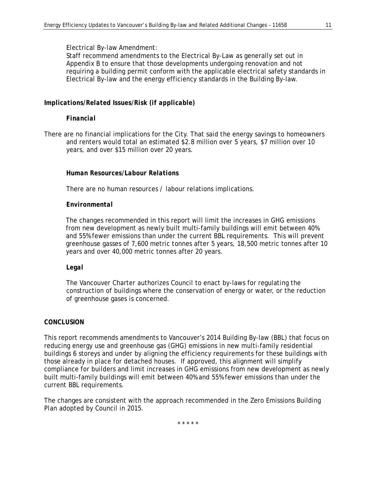Staff recommend amendments to the Electrical By-Law as generally set out in Appendix B to ensure that those developments undergoing renovation and not requiring a building permit conform with the applicable electrical safety standards in Electrical By-law and the energy efficiency standards in the Building By-law.

#### *Implications/Related Issues/Risk (if applicable)*

#### *Financial*

There are no financial implications for the City. That said the energy savings to homeowners and renters would total an estimated \$2.8 million over 5 years, \$7 million over 10 years, and over \$15 million over 20 years.

#### *Human Resources/Labour Relations*

There are no human resources / labour relations implications.

#### *Environmental*

The changes recommended in this report will limit the increases in GHG emissions from new development as newly built multi-family buildings will emit between 40% and 55% fewer emissions than under the current BBL requirements. This will prevent greenhouse gasses of 7,600 metric tonnes after 5 years, 18,500 metric tonnes after 10 years and over 40,000 metric tonnes after 20 years.

#### *Legal*

The Vancouver Charter authorizes Council to enact by-laws for regulating the construction of buildings where the conservation of energy or water, or the reduction of greenhouse gases is concerned.

#### *CONCLUSION*

This report recommends amendments to Vancouver's 2014 Building By-law (BBL) that focus on reducing energy use and greenhouse gas (GHG) emissions in new multi-family residential buildings 6 storeys and under by aligning the efficiency requirements for these buildings with those already in place for detached houses. If approved, this alignment will simplify compliance for builders and limit increases in GHG emissions from new development as newly built multi-family buildings will emit between 40% and 55% fewer emissions than under the current BBL requirements.

The changes are consistent with the approach recommended in the Zero Emissions Building Plan adopted by Council in 2015.

\* \* \* \* \*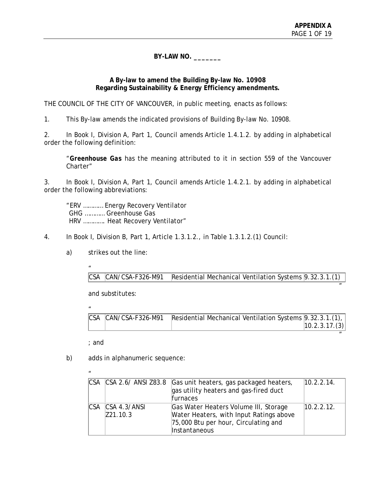$^{\prime\prime}$ 

 $^{\prime\prime}$ 

**BY-LAW NO. \_\_\_\_\_\_\_** 

#### **A By-law to amend the Building By-law No. 10908 Regarding Sustainability & Energy Efficiency amendments.**

THE COUNCIL OF THE CITY OF VANCOUVER, in public meeting, enacts as follows:

1. This By-law amends the indicated provisions of Building By-law No. 10908.

2. In Book I, Division A, Part 1, Council amends Article 1.4.1.2. by adding in alphabetical order the following definition:

 "*Greenhouse Gas* has the meaning attributed to it in section 559 of the Vancouver Charter"

3. In Book I, Division A, Part 1, Council amends Article 1.4.2.1. by adding in alphabetical order the following abbreviations:

 "ERV ………… Energy Recovery Ventilator GHG ………… Greenhouse Gas HRV …………. Heat Recovery Ventilator"

4. In Book I, Division B, Part 1, Article 1.3.1.2., in Table 1.3.1.2.(1) Council:

a) strikes out the line:

"

CSA CAN/CSA-F326-M91 Residential Mechanical Ventilation Systems 9.32.3.1.(1)

and substitutes:

" CSA CAN/CSA-F326-M91 Residential Mechanical Ventilation Systems 9.32.3.1.(1), 10.2.3.17.(3)

; and

 $\mathbf{u}$ 

b) adds in alphanumeric sequence:

| CSA CSA 2.6/ANSI Z83.8         | Gas unit heaters, gas packaged heaters,<br>gas utility heaters and gas-fired duct<br>furnaces                                             | 10.2.2.14. |
|--------------------------------|-------------------------------------------------------------------------------------------------------------------------------------------|------------|
| ICSA ICSA 4.3/ANSI<br>Z21.10.3 | Gas Water Heaters Volume III, Storage<br>Water Heaters, with Input Ratings above<br>75,000 Btu per hour, Circulating and<br>Instantaneous | 10.2.2.12. |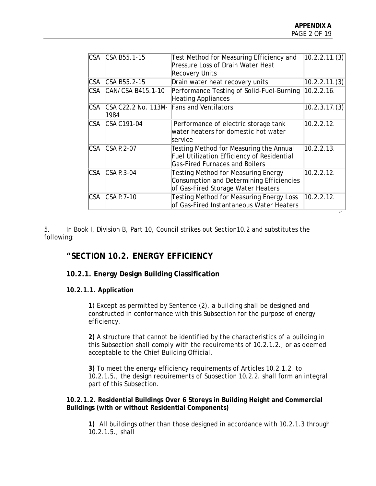| CSA B55.1-15<br>CSA B55.2-15<br>CAN/CSA B415.1-10 | Test Method for Measuring Efficiency and<br>Pressure Loss of Drain Water Heat<br><b>Recovery Units</b><br>Drain water heat recovery units<br>Performance Testing of Solid-Fuel-Burning | 10.2.2.11.(3)<br>10.2.2.11.(3)           |
|---------------------------------------------------|----------------------------------------------------------------------------------------------------------------------------------------------------------------------------------------|------------------------------------------|
|                                                   |                                                                                                                                                                                        |                                          |
|                                                   |                                                                                                                                                                                        |                                          |
|                                                   | <b>Heating Appliances</b>                                                                                                                                                              | 10.2.2.16.                               |
| CSA C22.2 No. 113M-<br>1984                       | <b>Fans and Ventilators</b>                                                                                                                                                            | 10.2.3.17.(3)                            |
| CSA C191-04                                       | Performance of electric storage tank<br>water heaters for domestic hot water<br>service                                                                                                | 10.2.2.12.                               |
| $CSA$ P.2-07                                      | Testing Method for Measuring the Annual<br><b>Fuel Utilization Efficiency of Residential</b><br><b>Gas-Fired Furnaces and Boilers</b>                                                  | 10.2.2.13.                               |
| $CSA$ P.3-04                                      | <b>Testing Method for Measuring Energy</b><br>Consumption and Determining Efficiencies<br>of Gas-Fired Storage Water Heaters                                                           | 10.2.2.12.                               |
| $CSA$ P.7-10                                      | Testing Method for Measuring Energy Loss                                                                                                                                               | 10.2.2.12.                               |
|                                                   |                                                                                                                                                                                        | of Gas-Fired Instantaneous Water Heaters |

5. In Book I, Division B, Part 10, Council strikes out Section10.2 and substitutes the following:

# **"SECTION 10.2. ENERGY EFFICIENCY**

# **10.2.1. Energy Design Building Classification**

#### **10.2.1.1. Application**

**1**) Except as permitted by Sentence (2), a *building* shall be designed and constructed in conformance with this Subsection for the purpose of energy efficiency.

**2)** A structure that cannot be identified by the characteristics of a *building* in this Subsection shall comply with the requirements of 10.2.1.2., or as deemed *acceptable* to the Chief Building Official.

**3)** To meet the energy efficiency requirements of Articles 10.2.1.2. to 10.2.1.5., the design requirements of Subsection 10.2.2. shall form an integral part of this Subsection.

#### **10.2.1.2. Residential Buildings Over 6 Storeys in Building Height and Commercial Buildings (with or without Residential Components)**

**1)** All *buildings* other than those designed in accordance with 10.2.1.3 through 10.2.1.5., shall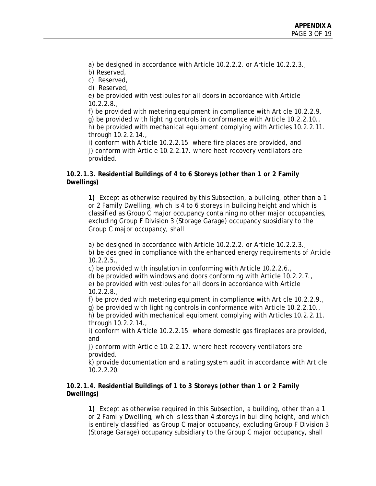a) be designed in accordance with Article 10.2.2.2. or Article 10.2.2.3.,

- b) Reserved,
- c) Reserved,
- d) Reserved,

e) be provided with vestibules for all doors in accordance with Article 10.2.2.8.,

f) be provided with metering equipment in compliance with Article 10.2.2.9, g) be provided with lighting controls in conformance with Article 10.2.2.10., h) be provided with mechanical equipment complying with Articles 10.2.2.11. through 10.2.2.14.,

i) conform with Article 10.2.2.15. where fire places are provided, and j) conform with Article 10.2.2.17. where heat recovery ventilators are provided.

#### **10.2.1.3. Residential Buildings of 4 to 6 Storeys (other than 1 or 2 Family Dwellings)**

**1)** Except as otherwise required by this Subsection, a *building,* other than a 1 or 2 Family Dwelling, which is 4 to 6 *storeys* in building height and which is classified as Group C *major occupancy* containing no other *major occupancies*, excluding Group F Division 3 (Storage Garage) occupancy subsidiary to the Group C *major occupancy*, shall

a) be designed in accordance with Article 10.2.2.2. or Article 10.2.2.3., b) be designed in compliance with the enhanced energy requirements of Article  $10.2.2.5.$ 

c) be provided with insulation in conforming with Article 10.2.2.6.,

d) be provided with windows and doors conforming with Article 10.2.2.7.,

e) be provided with vestibules for all doors in accordance with Article 10.2.2.8.,

f) be provided with metering equipment in compliance with Article 10.2.2.9., g) be provided with lighting controls in conformance with Article 10.2.2.10.,

h) be provided with mechanical equipment complying with Articles 10.2.2.11. through 10.2.2.14.,

i) conform with Article 10.2.2.15. where domestic gas fireplaces are provided, and

j) conform with Article 10.2.2.17. where heat recovery ventilators are provided.

k) provide documentation and a rating system audit in accordance with Article 10.2.2.20.

#### **10.2.1.4. Residential Buildings of 1 to 3 Storeys (other than 1 or 2 Family Dwellings)**

**1)** Except as otherwise required in this Subsection, a *building,* other than a *1 or 2 Family Dwelling,* which is less than 4 *storeys* in *building height*, and which is entirely classified as Group C *major occupancy*, excluding Group F Division 3 (Storage Garage) *occupancy* subsidiary to the Group C *major occupancy*, shall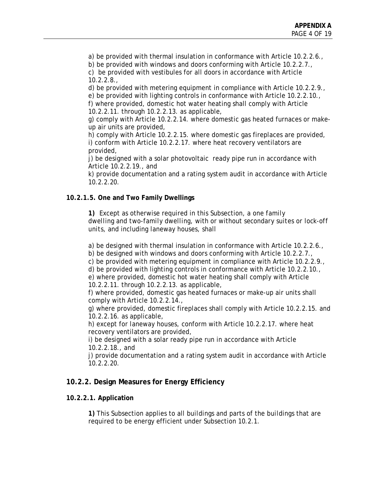a) be provided with thermal insulation in conformance with Article 10.2.2.6.,

b) be provided with windows and doors conforming with Article 10.2.2.7., c) be provided with vestibules for all doors in accordance with Article 10.2.2.8.,

d) be provided with metering equipment in compliance with Article 10.2.2.9.,

e) be provided with lighting controls in conformance with Article 10.2.2.10., f) where provided, domestic hot water heating shall comply with Article

10.2.2.11. through 10.2.2.13. as applicable,

g) comply with Article 10.2.2.14. where domestic gas heated furnaces or makeup air units are provided,

h) comply with Article 10.2.2.15. where domestic gas fireplaces are provided, i) conform with Article 10.2.2.17. where heat recovery ventilators are provided,

j) be designed with a solar photovoltaic ready pipe run in accordance with Article 10.2.2.19., and

k) provide documentation and a rating system audit in accordance with Article 10.2.2.20.

# **10.2.1.5. One and Two Family Dwellings**

**1)** Except as otherwise required in this Subsection, a *one family dwelling* and *two-family dwelling,* with or without *secondary suites* or *lock-off units,* and including *laneway houses*, shall

a) be designed with thermal insulation in conformance with Article 10.2.2.6.,

b) be designed with windows and doors conforming with Article 10.2.2.7.,

c) be provided with metering equipment in compliance with Article 10.2.2.9.,

d) be provided with lighting controls in conformance with Article 10.2.2.10.,

e) where provided, domestic hot water heating shall comply with Article 10.2.2.11. through 10.2.2.13. as applicable,

f) where provided, domestic gas heated furnaces or make-up air units shall comply with Article 10.2.2.14.,

g) where provided, domestic fireplaces shall comply with Article 10.2.2.15. and 10.2.2.16. as applicable,

h) except for *laneway houses*, conform with Article 10.2.2.17. where heat recovery ventilators are provided,

i) be designed with a solar ready pipe run in accordance with Article 10.2.2.18., and

j) provide documentation and a rating system audit in accordance with Article 10.2.2.20.

# **10.2.2. Design Measures for Energy Efficiency**

# **10.2.2.1. Application**

**1)** This Subsection applies to all *buildings* and parts of the *buildings* that are required to be energy efficient under Subsection 10.2.1.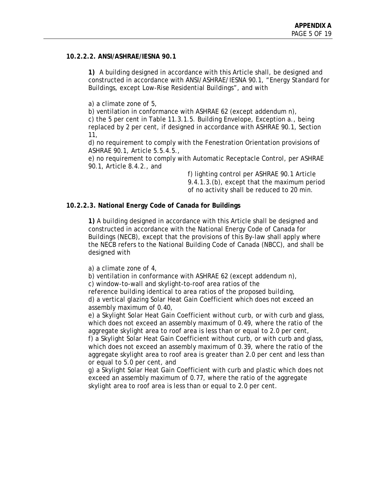#### **10.2.2.2. ANSI/ASHRAE/IESNA 90.1**

**1)** A building designed in accordance with this Article shall, be designed and constructed in accordance with ANSI/ASHRAE/IESNA 90.1, "Energy Standard for Buildings, except Low-Rise Residential Buildings", and with

a) a climate zone of 5,

b) ventilation in conformance with ASHRAE 62 (except addendum n), c) the 5 per cent in Table 11.3.1.5. Building Envelope, Exception a., being replaced by 2 per cent, if designed in accordance with ASHRAE 90.1, Section 11,

d) no requirement to comply with the Fenestration Orientation provisions of ASHRAE 90.1, Article 5.5.4.5.,

e) no requirement to comply with Automatic Receptacle Control, per ASHRAE 90.1, Article 8.4.2., and

> f) lighting control per ASHRAE 90.1 Article 9.4.1.3.(b), except that the maximum period of no activity shall be reduced to 20 min.

#### **10.2.2.3. National Energy Code of Canada for Buildings**

**1)** A *building* designed in accordance with this Article shall be designed and constructed in accordance with the National Energy Code of Canada for Buildings (NECB), except that the provisions of this By-law shall apply where the NECB refers to the National Building Code of Canada (NBCC), and shall be designed with

a) a climate zone of 4,

b) ventilation in conformance with ASHRAE 62 (except addendum n),

c) window-to-wall and skylight-to-roof area ratios of the

reference *building* identical to area ratios of the proposed *building*, d) a vertical glazing Solar Heat Gain Coefficient which does not exceed an assembly maximum of 0.40,

e) a Skylight Solar Heat Gain Coefficient without curb, or with curb and glass, which does not exceed an assembly maximum of 0.49, where the ratio of the aggregate skylight area to roof area is less than or equal to 2.0 per cent,

f) a Skylight Solar Heat Gain Coefficient without curb, or with curb and glass, which does not exceed an assembly maximum of 0.39, where the ratio of the aggregate skylight area to roof area is greater than 2.0 per cent and less than or equal to 5.0 per cent, and

g) a Skylight Solar Heat Gain Coefficient with curb and plastic which does not exceed an assembly maximum of 0.77, where the ratio of the aggregate skylight area to roof area is less than or equal to 2.0 per cent.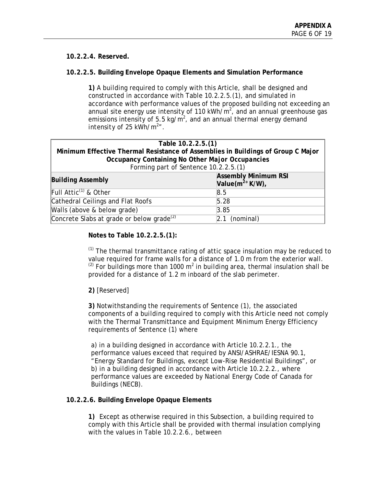#### **10.2.2.4. Reserved.**

#### **10.2.2.5. Building Envelope Opaque Elements and Simulation Performance**

**1)** A *building* required to comply with this Article, shall be designed and constructed in accordance with Table 10.2.2.5.(1), and simulated in accordance with performance values of the proposed building not exceeding an annual site energy use intensity of 110 kWh/m<sup>2</sup> , and an annual *greenhouse gas* emissions intensity of 5.5 kg/m<sup>2</sup>, and an annual *thermal energy demand intensity* of 25  $kWh/m<sup>2</sup>$ .

| Table 10.2.2.5.(1)                                                               |                                                          |  |
|----------------------------------------------------------------------------------|----------------------------------------------------------|--|
| Minimum Effective Thermal Resistance of Assemblies in Buildings of Group C Major |                                                          |  |
| Occupancy Containing No Other Major Occupancies                                  |                                                          |  |
| Forming part of Sentence 10.2.2.5.(1)                                            |                                                          |  |
| <b>Building Assembly</b>                                                         | <b>Assembly Minimum RSI</b><br>Value $(m^2 \circ K/W)$ , |  |
| Full Attic <sup>(1)</sup> & Other                                                | 8.5                                                      |  |
| Cathedral Ceilings and Flat Roofs                                                | 5.28                                                     |  |
| Walls (above & below grade)                                                      | 3.85                                                     |  |
| Concrete Slabs at grade or below grade <sup>(2)</sup>                            | (nominal)<br>2.1                                         |  |

**Notes to Table 10.2.2.5.(1):** 

 $(1)$  The thermal transmittance rating of attic space insulation may be reduced to value required for frame walls for a distance of 1.0 m from the exterior wall.  $^{(2)}$  For buildings more than 1000 m<sup>2</sup> in *building area*, thermal insulation shall be provided for a distance of 1.2 m inboard of the slab perimeter.

# **2)** [Reserved]

**3)** Notwithstanding the requirements of Sentence (1), the associated components of a *building* required to comply with this Article need not comply with the Thermal Transmittance and Equipment Minimum Energy Efficiency requirements of Sentence (1) where

a) in a *building* designed in accordance with Article 10.2.2.1., the performance values exceed that required by ANSI/ASHRAE/IESNA 90.1, "Energy Standard for Buildings, except Low-Rise Residential Buildings", or b) in a *building* designed in accordance with Article 10.2.2.2., where performance values are exceeded by National Energy Code of Canada for Buildings (NECB).

#### **10.2.2.6. Building Envelope Opaque Elements**

**1)** Except as otherwise required in this Subsection, a *building* required to comply with this Article shall be provided with thermal insulation complying with the values in Table 10.2.2.6., between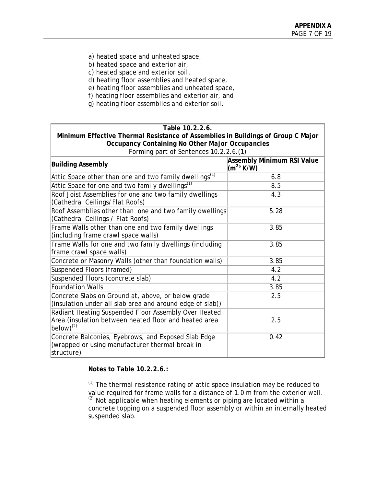- a) heated space and unheated space,
- b) heated space and exterior air,
- c) heated space and exterior *soil*,
- d) heating floor assemblies and heated space,
- e) heating floor assemblies and unheated space,
- f) heating floor assemblies and exterior air, and
- g) heating floor assemblies and exterior *soil*.

| Table 10.2.2.6.                                                                                                                          |                                                             |  |
|------------------------------------------------------------------------------------------------------------------------------------------|-------------------------------------------------------------|--|
| Minimum Effective Thermal Resistance of Assemblies in Buildings of Group C Major                                                         |                                                             |  |
| Occupancy Containing No Other Major Occupancies                                                                                          |                                                             |  |
| Forming part of Sentences 10.2.2.6.(1)                                                                                                   |                                                             |  |
| <b>Building Assembly</b>                                                                                                                 | <b>Assembly Minimum RSI Value</b><br>(m <sup>2</sup> ° K/W) |  |
| Attic Space other than one and two family dwellings <sup>(1)</sup>                                                                       | 6.8                                                         |  |
| Attic Space for one and two family dwellings $^{(1)}$                                                                                    | 8.5                                                         |  |
| Roof Joist Assemblies for one and two family dwellings<br>(Cathedral Ceilings/Flat Roofs)                                                | 4.3                                                         |  |
| Roof Assemblies other than one and two family dwellings<br>(Cathedral Ceilings / Flat Roofs)                                             | 5.28                                                        |  |
| Frame Walls other than one and two family dwellings<br>(including frame crawl space walls)                                               | 3.85                                                        |  |
| Frame Walls for one and two family dwellings (including<br>frame crawl space walls)                                                      | 3.85                                                        |  |
| Concrete or Masonry Walls (other than foundation walls)                                                                                  | 3.85                                                        |  |
| Suspended Floors (framed)                                                                                                                | 4.2                                                         |  |
| Suspended Floors (concrete slab)                                                                                                         | 4.2                                                         |  |
| <b>Foundation Walls</b>                                                                                                                  | 3.85                                                        |  |
| Concrete Slabs on Ground at, above, or below grade<br>(insulation under all slab area and around edge of slab))                          | 2.5                                                         |  |
| Radiant Heating Suspended Floor Assembly Over Heated<br>Area (insulation between heated floor and heated area<br>$\vert$ below) $^{(2)}$ | 2.5                                                         |  |
| Concrete Balconies, Eyebrows, and Exposed Slab Edge<br>(wrapped or using manufacturer thermal break in<br>structure)                     | 0.42                                                        |  |

#### **Notes to Table 10.2.2.6.:**

 $(1)$  The thermal resistance rating of attic space insulation may be reduced to value required for frame walls for a distance of 1.0 m from the exterior wall.  $(2)$  Not applicable when heating elements or piping are located within a concrete topping on a suspended floor assembly or within an internally heated suspended slab.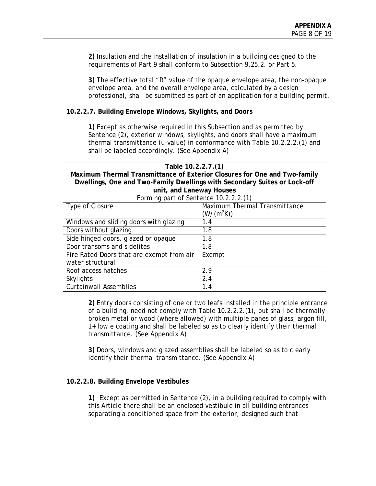**2)** Insulation and the installation of insulation in a *building* designed to the requirements of Part 9 shall conform to Subsection 9.25.2. or Part 5.

**3)** The effective total "R" value of the opaque envelope area, the non-opaque envelope area, and the overall envelope area, calculated by a design professional, shall be submitted as part of an application for a *building permit.*

#### **10.2.2.7. Building Envelope Windows, Skylights, and Doors**

**1)** Except as otherwise required in this Subsection and as permitted by Sentence (2), exterior windows, skylights, and doors shall have a maximum thermal transmittance (u-value) in conformance with Table 10.2.2.2.(1) and shall be labeled accordingly. (See Appendix A)

| Table 10.2.2.7.(1)                                                        |                               |  |
|---------------------------------------------------------------------------|-------------------------------|--|
| Maximum Thermal Transmittance of Exterior Closures for One and Two-family |                               |  |
| Dwellings, One and Two-Family Dwellings with Secondary Suites or Lock-off |                               |  |
| unit, and Laneway Houses                                                  |                               |  |
| Forming part of Sentence 10.2.2.2.(1)                                     |                               |  |
| Type of Closure                                                           | Maximum Thermal Transmittance |  |
|                                                                           | $(W/(m^2K))$                  |  |
| Windows and sliding doors with glazing                                    | 1.4                           |  |
| Doors without glazing                                                     | 1.8                           |  |
| Side hinged doors, glazed or opaque                                       | 1.8                           |  |
| Door transoms and sidelites                                               | 1.8                           |  |
| Fire Rated Doors that are exempt from air                                 | Exempt                        |  |
| water structural                                                          |                               |  |
| Roof access hatches                                                       | 2.9                           |  |
| Skylights                                                                 | 2.4                           |  |
| <b>Curtainwall Assemblies</b>                                             | 1.4                           |  |

**2)** Entry doors consisting of one or two leafs installed in the principle entrance of a building, need not comply with Table 10.2.2.2.(1), but shall be thermally broken metal or wood (where allowed) with multiple panes of glass, argon fill, 1+ low e coating and shall be labeled so as to clearly identify their thermal transmittance. (See Appendix A)

**3)** Doors, windows and glazed assemblies shall be labeled so as to clearly identify their thermal transmittance. (See Appendix A)

#### **10.2.2.8. Building Envelope Vestibules**

**1)** Except as permitted in Sentence (2), in a *building* required to comply with this Article there shall be an enclosed vestibule in all *building* entrances separating a conditioned space from the exterior, designed such that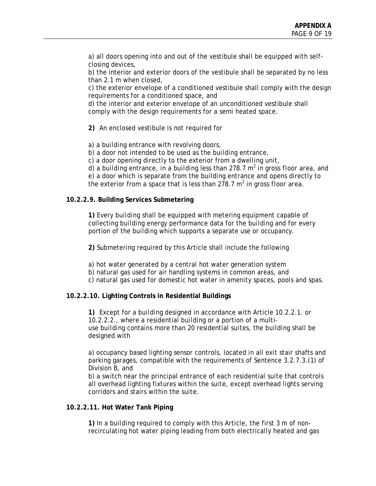a) all doors opening into and out of the vestibule shall be equipped with selfclosing devices,

b) the interior and exterior doors of the vestibule shall be separated by no less than 2.1 m when closed,

c) the exterior envelope of a conditioned vestibule shall comply with the design requirements for a conditioned space, and

d) the interior and exterior envelope of an unconditioned vestibule shall comply with the design requirements for a semi heated space.

**2)** An enclosed vestibule is not required for

a) a *building* entrance with revolving doors,

b) a door not intended to be used as the *building* entrance,

c) a door opening directly to the exterior from a *dwelling unit*,

d) a *building* entrance, in a *building* less than 278.7 m<sup>2</sup> in gross floor area, and

e) a door which is separate from the *building* entrance and opens directly to the exterior from a space that is less than 278.7 m<sup>2</sup> in gross *floor area*.

#### **10.2.2.9. Building Services Submetering**

**1)** Every *building* shall be equipped with metering equipment capable of collecting *building* energy performance data for the *building* and for every portion of the *building* which supports a separate use or *occupancy*.

**2)** Submetering required by this Article shall include the following

a) hot water generated by a central hot water generation system

b) natural gas used for air handling systems in common areas, and

c) natural gas used for domestic hot water in amenity spaces, pools and spas.

#### **10.2.2.10. Lighting Controls in Residential Buildings**

**1)** Except for a *building* designed in accordance with Article 10.2.2.1. or 10.2.2.2., where a residential *building* or a portion of a multiuse *building* contains more than 20 residential *suites*, the *building* shall be designed with

a) *occupancy* based lighting sensor controls, located in all *exit* stair shafts and parking garages, compatible with the requirements of Sentence 3.2.7.3.(1) of Division B, and

b) a switch near the principal entrance of each residential *suite* that controls all overhead lighting fixtures within the *suite*, except overhead lights serving corridors and stairs within the *suite*.

#### **10.2.2.11. Hot Water Tank Piping**

**1)** In a *building* required to comply with this Article, the first 3 m of nonrecirculating hot water piping leading from both electrically heated and gas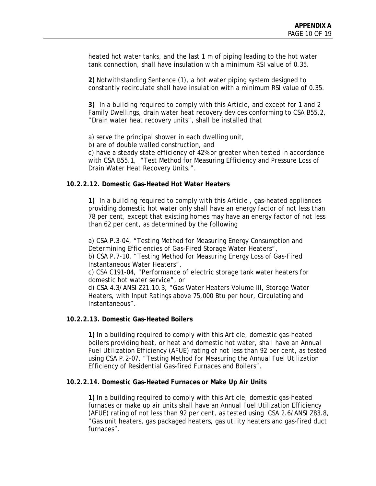heated hot water tanks, and the last 1 m of piping leading to the hot water tank connection, shall have insulation with a minimum RSI value of 0.35.

**2)** Notwithstanding Sentence (1), a hot water piping system designed to constantly recirculate shall have insulation with a minimum RSI value of 0.35.

**3)** In a *building* required to comply with this Article, and except for 1 and 2 Family Dwellings, drain water heat recovery devices conforming to CSA B55.2, "Drain water heat recovery units", shall be installed that

a) serve the principal shower in each dwelling unit,

b) are of double walled construction, and

c) have a steady state efficiency of 42% or greater when tested in accordance with CSA B55.1, "Test Method for Measuring Efficiency and Pressure Loss of Drain Water Heat Recovery Units.".

#### **10.2.2.12. Domestic Gas-Heated Hot Water Heaters**

**1)** In a *building* required to comply with this Article , gas-heated appliances providing domestic hot water only shall have an energy factor of not less than 78 per cent, except that existing homes may have an energy factor of not less than 62 per cent, as determined by the following

a) CSA P.3-04, "Testing Method for Measuring Energy Consumption and Determining Efficiencies of Gas-Fired Storage Water Heaters", b) CSA P.7-10, "Testing Method for Measuring Energy Loss of Gas-Fired

Instantaneous Water Heaters",

c) CSA C191-04, "Performance of electric storage tank water heaters for domestic hot water service", or

d) CSA 4.3/ANSI Z21.10.3, "Gas Water Heaters Volume III, Storage Water Heaters, with Input Ratings above 75,000 Btu per hour, Circulating and Instantaneous".

#### **10.2.2.13. Domestic Gas-Heated Boilers**

**1)** In a *building* required to comply with this Article, domestic gas-heated boilers providing heat, or heat and domestic hot water, shall have an Annual Fuel Utilization Efficiency (AFUE) rating of not less than 92 per cent, as tested using CSA P.2-07, "Testing Method for Measuring the Annual Fuel Utilization Efficiency of Residential Gas-fired Furnaces and Boilers".

#### **10.2.2.14. Domestic Gas-Heated Furnaces or Make Up Air Units**

**1)** In a *building* required to comply with this Article, domestic gas-heated furnaces or make up air units shall have an Annual Fuel Utilization Efficiency (AFUE) rating of not less than 92 per cent, as tested using CSA 2.6/ANSI Z83.8, "Gas unit heaters, gas packaged heaters, gas utility heaters and gas-fired duct furnaces".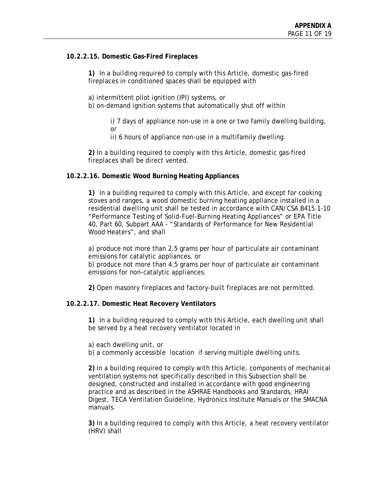#### **10.2.2.15. Domestic Gas-Fired Fireplaces**

**1)** In a *building* required to comply with this Article, domestic gas-fired fireplaces in conditioned spaces shall be equipped with

a) intermittent pilot ignition (IPI) systems, or

b) on-demand ignition systems that automatically shut off within

i) 7 days of appliance non-use in a one or two family dwelling building, or

ii) 6 hours of appliance non-use in a multifamily dwelling.

**2)** In a *building* required to comply with this Article, domestic gas-fired fireplaces shall be direct vented.

#### **10.2.2.16. Domestic Wood Burning Heating Appliances**

**1)** In a *building* required to comply with this Article, and except for cooking stoves and ranges, a wood domestic burning heating appliance installed in a residential *dwelling unit* shall be tested in accordance with CAN/CSA B415.1-10 "Performance Testing of Solid-Fuel-Burning Heating Appliances" or EPA Title 40, Part 60, Subpart AAA - "Standards of Performance for New Residential Wood Heaters", and shall

a) produce not more than 2.5 grams per hour of particulate air contaminant emissions for catalytic appliances, or

b) produce not more than 4.5 grams per hour of particulate air contaminant emissions for non-catalytic appliances.

**2)** Open masonry fireplaces and factory-built fireplaces are not permitted.

#### **10.2.2.17. Domestic Heat Recovery Ventilators**

**1)** In a *building* required to comply with this Article, each dwelling unit shall be served by a heat recovery ventilator located in

a) each dwelling *unit*, or

b) a commonly accessible location if serving multiple *dwelling units*.

**2)** In a *building* required to comply with this Article, components of mechanical ventilation systems not specifically described in this Subsection shall be designed, constructed and installed in accordance with good engineering practice and as described in the ASHRAE Handbooks and Standards, HRAI Digest, TECA Ventilation Guideline, Hydronics Institute Manuals or the SMACNA manuals.

**3)** In a *building* required to comply with this Article, a heat recovery ventilator (HRV) shall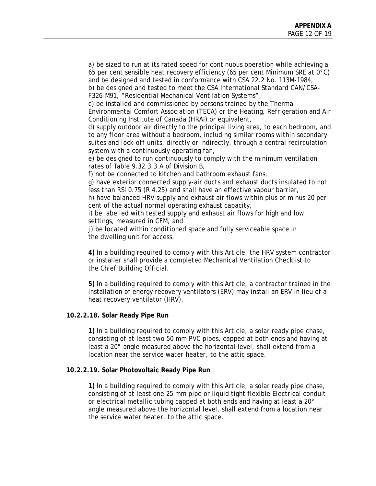a) be sized to run at its rated speed for continuous operation while achieving a 65 per cent sensible heat recovery efficiency (65 per cent Minimum SRE at 0°C) and be designed and tested in conformance with CSA 22.2 No. 113M-1984, b) be designed and tested to meet the CSA International Standard CAN/CSA-

F326-M91, "Residential Mechanical Ventilation Systems",

c) be installed and commissioned by persons trained by the Thermal Environmental Comfort Association (TECA) or the Heating, Refrigeration and Air Conditioning Institute of Canada (HRAI) or equivalent,

d) supply outdoor air directly to the principal living area, to each bedroom, and to any *floor area* without a bedroom, including similar rooms within *secondary suites* and *lock-off units*, directly or indirectly, through a central recirculation system with a continuously operating fan,

e) be designed to run continuously to comply with the minimum ventilation rates of Table 9.32.3.3.A of Division B,

f) not be connected to kitchen and bathroom exhaust fans,

g) have exterior connected supply-air ducts and exhaust ducts insulated to not less than RSI 0.75 (R 4.25) and shall have an effective vapour barrier,

h) have balanced HRV supply and exhaust air flows within plus or minus 20 per cent of the actual normal operating exhaust capacity,

i) be labelled with tested supply and exhaust air flows for high and low settings, measured in CFM, and

j) be located within *conditioned space* and fully serviceable space in the dwelling unit for access.

**4)** In a *building* required to comply with this Article, the HRV system contractor or installer shall provide a completed Mechanical Ventilation Checklist to the Chief Building Official.

**5)** In a *building* required to comply with this Article, a contractor trained in the installation of energy recovery ventilators (ERV) may install an ERV in lieu of a heat recovery ventilator (HRV).

#### **10.2.2.18. Solar Ready Pipe Run**

**1)** In a *building* required to comply with this Article, a solar ready pipe chase, consisting of at least two 50 mm PVC pipes, capped at both ends and having at least a 20° angle measured above the horizontal level, shall extend from a location near the *service water heater*, to the attic space.

#### **10.2.2.19. Solar Photovoltaic Ready Pipe Run**

**1)** In a *building* required to comply with this Article, a solar ready pipe chase, consisting of at least one 25 mm pipe or liquid tight flexible Electrical conduit or electrical metallic tubing capped at both ends and having at least a 20° angle measured above the horizontal level, shall extend from a location near the service water heater, to the attic space.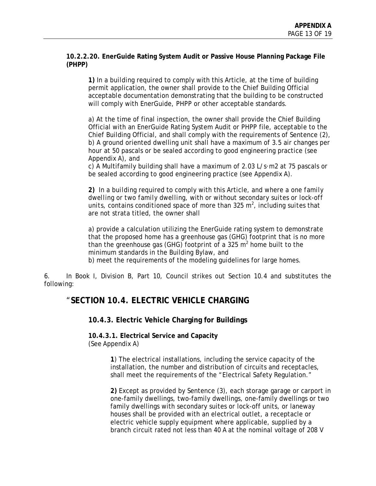#### **10.2.2.20. EnerGuide Rating System Audit or Passive House Planning Package File (PHPP)**

**1)** In a *building* required to comply with this Article, at the time of building permit application, the owner shall provide to the Chief Building Official *acceptable* documentation demonstrating that the building to be constructed will comply with EnerGuide, PHPP or other *acceptable* standards.

a) At the time of final inspection, the owner shall provide the Chief Building Official with an EnerGuide Rating System Audit or PHPP file, *acceptable* to the Chief Building Official, and shall comply with the requirements of Sentence (2), b) A ground oriented dwelling unit shall have a maximum of 3.5 air changes per hour at 50 pascals or be sealed according to good engineering practice (see Appendix A), and

c) A Multifamily building shall have a maximum of 2.03 L/s·m2 at 75 pascals or be sealed according to good engineering practice (see Appendix A).

**2)** In a *building* required to comply with this Article, and where a *one family dwelling* or *two family dwelling*, with or without *secondary suites* or *lock-off*  units, contains *conditioned space* of more than 325 m<sup>2</sup>, including *suites* that are not strata titled, the owner shall

a) provide a calculation utilizing the EnerGuide rating system to demonstrate that the proposed home has a greenhouse gas (GHG) footprint that is no more than the greenhouse gas (GHG) footprint of a 325  $m^2$  home built to the minimum standards in the Building Bylaw, and

b) meet the requirements of the modeling guidelines for large homes.

6. In Book I, Division B, Part 10, Council strikes out Section 10.4 and substitutes the following:

# "**SECTION 10.4. ELECTRIC VEHICLE CHARGING**

**10.4.3. Electric Vehicle Charging for Buildings** 

**10.4.3.1. Electrical Service and Capacity**  (See Appendix A)

> **1**) The electrical installations, including the service capacity of the installation, the number and distribution of circuits and receptacles, shall meet the requirements of the "Electrical Safety Regulation."

**2)** Except as provided by Sentence (3), each storage garage or carport in one-family dwellings, two-family dwellings, one-family dwellings or two family dwellings with secondary suites or lock-off units, or laneway houses shall be provided with an electrical outlet, a receptacle or electric vehicle supply equipment where applicable, supplied by a branch circuit rated not less than 40 A at the nominal voltage of 208 V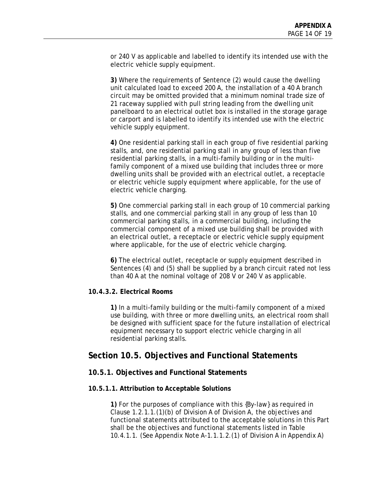or 240 V as applicable and labelled to identify its intended use with the electric vehicle supply equipment.

**3)** Where the requirements of Sentence (2) would cause the dwelling unit calculated load to exceed 200 A, the installation of a 40 A branch circuit may be omitted provided that a minimum nominal trade size of 21 raceway supplied with pull string leading from the dwelling unit panelboard to an electrical outlet box is installed in the storage garage or carport and is labelled to identify its intended use with the electric vehicle supply equipment.

**4)** One residential parking stall in each group of five residential parking stalls, and, one residential parking stall in any group of less than five residential parking stalls, in a multi-family building or in the multifamily component of a mixed use building that includes three or more dwelling units shall be provided with an electrical outlet, a receptacle or electric vehicle supply equipment where applicable, for the use of electric vehicle charging.

**5)** One commercial parking stall in each group of 10 commercial parking stalls, and one commercial parking stall in any group of less than 10 commercial parking stalls, in a commercial building, including the commercial component of a mixed use building shall be provided with an electrical outlet, a receptacle or electric vehicle supply equipment where applicable, for the use of electric vehicle charging.

**6)** The electrical outlet, receptacle or supply equipment described in Sentences (4) and (5) shall be supplied by a branch circuit rated not less than 40 A at the nominal voltage of 208 V or 240 V as applicable.

#### **10.4.3.2. Electrical Rooms**

**1)** In a multi-family building or the multi-family component of a mixed use building, with three or more dwelling units, an electrical room shall be designed with sufficient space for the future installation of electrical equipment necessary to support electric vehicle charging in all residential parking stalls.

# **Section 10.5. Objectives and Functional Statements**

#### **10.5.1. Objectives and Functional Statements**

#### **10.5.1.1. Attribution to Acceptable Solutions**

**1)** For the purposes of compliance with this {By-law} as required in Clause 1.2.1.1.(1)(b) of Division A of Division A, the objectives and functional statements attributed to the acceptable solutions in this Part shall be the objectives and functional statements listed in Table 10.4.1.1. (See Appendix Note A-1.1.1.2.(1) of Division A in Appendix A)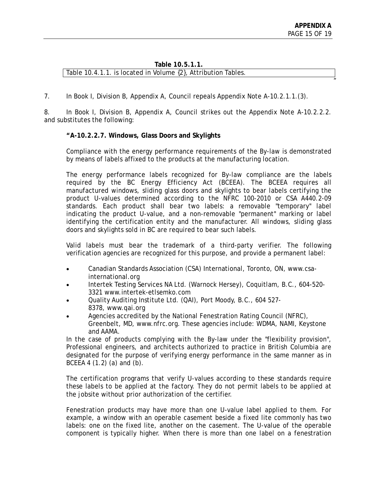$^{\prime\prime}$ 

#### **Table 10.5.1.1.**  Table 10.4.1.1. is located in Volume {2}, Attribution Tables.

7. In Book I, Division B, Appendix A, Council repeals Appendix Note A-10.2.1.1.(3).

8. In Book I, Division B, Appendix A, Council strikes out the Appendix Note A-10.2.2.2. and substitutes the following:

# **"A-10.2.2.7. Windows, Glass Doors and Skylights**

Compliance with the energy performance requirements of the By-law is demonstrated by means of labels affixed to the products at the manufacturing location.

The energy performance labels recognized for By-law compliance are the labels required by the BC Energy Efficiency Act (BCEEA). The BCEEA requires all manufactured windows, sliding glass doors and skylights to bear labels certifying the product U-values determined according to the NFRC 100-2010 or CSA A440.2-09 standards. Each product shall bear two labels: a removable "temporary" label indicating the product U-value, and a non-removable "permanent" marking or label identifying the certification entity and the manufacturer. All windows, sliding glass doors and skylights sold in BC are required to bear such labels.

Valid labels must bear the trademark of a third-party verifier. The following verification agencies are recognized for this purpose, and provide a permanent label:

- Canadian Standards Association (CSA) International, Toronto, ON, www.csainternational.org
- Intertek Testing Services NA Ltd. (Warnock Hersey), Coquitlam, B.C., 604-520- 3321 www.intertek-etlsemko.com
- Quality Auditing Institute Ltd. (QAI), Port Moody, B.C., 604 527- 8378, www.qai.org
- Agencies accredited by the National Fenestration Rating Council (NFRC), Greenbelt, MD, www.nfrc.org. These agencies include: WDMA, NAMI, Keystone and AAMA.

In the case of products complying with the By-law under the "flexibility provision", Professional engineers, and architects authorized to practice in British Columbia are designated for the purpose of verifying energy performance in the same manner as in BCEEA 4 (1.2) (a) and (b).

The certification programs that verify U-values according to these standards require these labels to be applied at the factory. They do not permit labels to be applied at the jobsite without prior authorization of the certifier.

Fenestration products may have more than one U-value label applied to them. For example, a window with an operable casement beside a fixed lite commonly has two labels: one on the fixed lite, another on the casement. The U-value of the operable component is typically higher. When there is more than one label on a fenestration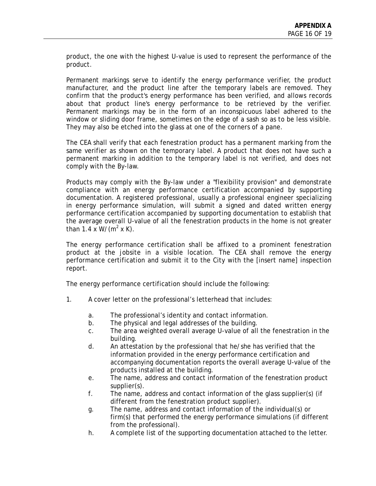product, the one with the highest U-value is used to represent the performance of the product.

Permanent markings serve to identify the energy performance verifier, the product manufacturer, and the product line after the temporary labels are removed. They confirm that the product's energy performance has been verified, and allows records about that product line's energy performance to be retrieved by the verifier. Permanent markings may be in the form of an inconspicuous label adhered to the window or sliding door frame, sometimes on the edge of a sash so as to be less visible. They may also be etched into the glass at one of the corners of a pane.

The CEA shall verify that each fenestration product has a permanent marking from the same verifier as shown on the temporary label. A product that does not have such a permanent marking in addition to the temporary label is not verified, and does not comply with the By-law.

Products may comply with the By-law under a "flexibility provision" and demonstrate compliance with an energy performance certification accompanied by supporting documentation. A registered professional, usually a professional engineer specializing in energy performance simulation, will submit a signed and dated written energy performance certification accompanied by supporting documentation to establish that the average overall U-value of all the fenestration products in the home is not greater than 1.4 x  $W/(m^2 \times K)$ .

The energy performance certification shall be affixed to a prominent fenestration product at the jobsite in a visible location. The CEA shall remove the energy performance certification and submit it to the City with the [insert name] inspection report.

The energy performance certification should include the following:

- 1. A cover letter on the professional's letterhead that includes:
	- a. The professional's identity and contact information.
	- b. The physical and legal addresses of the building.
	- c. The area weighted overall average U-value of all the fenestration in the building.
	- d. An attestation by the professional that he/she has verified that the information provided in the energy performance certification and accompanying documentation reports the overall average U-value of the products installed at the building.
	- e. The name, address and contact information of the fenestration product supplier(s).
	- f. The name, address and contact information of the glass supplier(s) (if different from the fenestration product supplier).
	- g. The name, address and contact information of the individual(s) or firm(s) that performed the energy performance simulations (if different from the professional).
	- h. A complete list of the supporting documentation attached to the letter.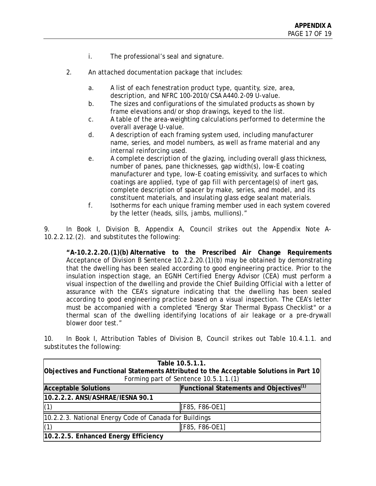- i. The professional's seal and signature.
- 2. An attached documentation package that includes:
	- a. A list of each fenestration product type, quantity, size, area, description, and NFRC 100-2010/CSA A440.2-09 U-value.
	- b. The sizes and configurations of the simulated products as shown by frame elevations and/or shop drawings, keyed to the list.
	- c. A table of the area-weighting calculations performed to determine the overall average U-value.
	- d. A description of each framing system used, including manufacturer name, series, and model numbers, as well as frame material and any internal reinforcing used.
	- e. A complete description of the glazing, including overall glass thickness, number of panes, pane thicknesses, gap width(s), low-E coating manufacturer and type, low-E coating emissivity, and surfaces to which coatings are applied, type of gap fill with percentage(s) of inert gas, complete description of spacer by make, series, and model, and its constituent materials, and insulating glass edge sealant materials.
	- f. Isotherms for each unique framing member used in each system covered by the letter (heads, sills, jambs, mullions)."

9. In Book I, Division B, Appendix A, Council strikes out the Appendix Note A-10.2.2.12.(2). and substitutes the following:

**"A-10.2.2.20.(1)(b) Alternative to the Prescribed Air Change Requirements** Acceptance of Division B Sentence 10.2.2.20.(1)(b) may be obtained by demonstrating that the dwelling has been sealed according to good engineering practice. Prior to the insulation inspection stage, an EGNH Certified Energy Advisor (CEA) must perform a visual inspection of the dwelling and provide the Chief Building Official with a letter of assurance with the CEA's signature indicating that the dwelling has been sealed according to good engineering practice based on a visual inspection. The CEA's letter must be accompanied with a completed "Energy Star Thermal Bypass Checklist" or a thermal scan of the dwelling identifying locations of air leakage or a pre-drywall blower door test."

10. In Book I, Attribution Tables of Division B, Council strikes out Table 10.4.1.1. and substitutes the following:

| Table 10.5.1.1.<br>Objectives and Functional Statements Attributed to the Acceptable Solutions in Part 10<br>Forming part of Sentence 10.5.1.1.(1) |                |  |
|----------------------------------------------------------------------------------------------------------------------------------------------------|----------------|--|
| Functional Statements and Objectives <sup>(1)</sup><br><b>Acceptable Solutions</b>                                                                 |                |  |
| 10.2.2.2. ANSI/ASHRAE/IESNA 90.1                                                                                                                   |                |  |
| (1)                                                                                                                                                | [F85, F86-OE1] |  |
| 10.2.2.3. National Energy Code of Canada for Buildings                                                                                             |                |  |
| (1)                                                                                                                                                | [F85, F86-OE1] |  |
| 10.2.2.5. Enhanced Energy Efficiency                                                                                                               |                |  |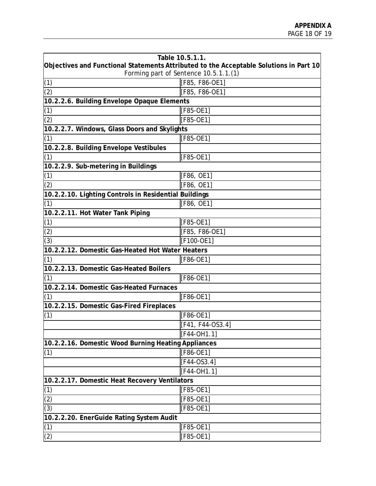| Table 10.5.1.1.                                                                        |                  |  |
|----------------------------------------------------------------------------------------|------------------|--|
| Objectives and Functional Statements Attributed to the Acceptable Solutions in Part 10 |                  |  |
| Forming part of Sentence 10.5.1.1.(1)                                                  |                  |  |
| (1)                                                                                    | [F85, F86-OE1]   |  |
| (2)                                                                                    | [F85, F86-OE1]   |  |
| 10.2.2.6. Building Envelope Opaque Elements                                            |                  |  |
| (1)                                                                                    | [F85-OE1]        |  |
| $\overline{(2)}$                                                                       | [F85-OE1]        |  |
| 10.2.2.7. Windows, Glass Doors and Skylights                                           |                  |  |
| (1)                                                                                    | [F85-OE1]        |  |
| 10.2.2.8. Building Envelope Vestibules                                                 |                  |  |
| (1)                                                                                    | [F85-OE1]        |  |
| 10.2.2.9. Sub-metering in Buildings                                                    |                  |  |
| (1)                                                                                    | [F86, OE1]       |  |
| $\overline{(2)}$                                                                       | [F86, OE1]       |  |
| 10.2.2.10. Lighting Controls in Residential Buildings                                  |                  |  |
| (1)                                                                                    | [F86, OE1]       |  |
| 10.2.2.11. Hot Water Tank Piping                                                       |                  |  |
| (1)                                                                                    | [F85-OE1]        |  |
| (2)                                                                                    | [F85, F86-OE1]   |  |
| (3)                                                                                    | [F100-OE1]       |  |
| 10.2.2.12. Domestic Gas-Heated Hot Water Heaters                                       |                  |  |
| (1)                                                                                    | [F86-OE1]        |  |
| 10.2.2.13. Domestic Gas-Heated Boilers                                                 |                  |  |
| (1)                                                                                    | [F86-OE1]        |  |
| 10.2.2.14. Domestic Gas-Heated Furnaces                                                |                  |  |
| (1)                                                                                    | [F86-OE1]        |  |
| 10.2.2.15. Domestic Gas-Fired Fireplaces                                               |                  |  |
| (1)                                                                                    | [F86-OE1]        |  |
|                                                                                        | [F41, F44-OS3.4] |  |
|                                                                                        | [F44-OH1.1]      |  |
| 10.2.2.16. Domestic Wood Burning Heating Appliances                                    |                  |  |
| (1)                                                                                    | [F86-OE1]        |  |
|                                                                                        | $[F44-OS3.4]$    |  |
|                                                                                        | $[F44-OH1.1]$    |  |
| 10.2.2.17. Domestic Heat Recovery Ventilators                                          |                  |  |
|                                                                                        | [F85-OE1]        |  |
| $\frac{(1)}{(2)}$                                                                      | [F85-OE1]        |  |
| (3)                                                                                    | [F85-OE1]        |  |
| 10.2.2.20. EnerGuide Rating System Audit                                               |                  |  |
| (1)                                                                                    | [F85-OE1]        |  |
| (2)                                                                                    | [F85-OE1]        |  |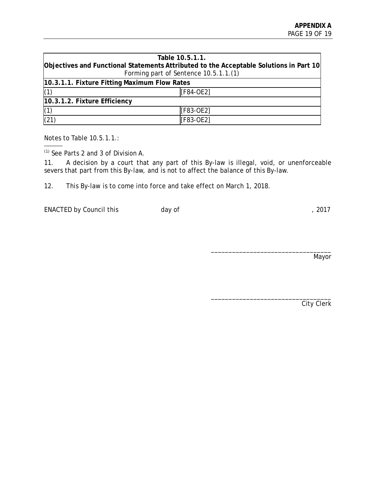| Table 10.5.1.1.                                                                        |           |  |
|----------------------------------------------------------------------------------------|-----------|--|
| Objectives and Functional Statements Attributed to the Acceptable Solutions in Part 10 |           |  |
| Forming part of Sentence 10.5.1.1.(1)                                                  |           |  |
| 10.3.1.1. Fixture Fitting Maximum Flow Rates                                           |           |  |
| (1)                                                                                    | [F84-OE2] |  |
| 10.3.1.2. Fixture Efficiency                                                           |           |  |
| (1)                                                                                    | [F83-OE2] |  |
| (21)                                                                                   | [F83-OE2] |  |

Notes to Table 10.5.1.1.:

(1) See Parts 2 and 3 of Division A.

11. A decision by a court that any part of this By-law is illegal, void, or unenforceable severs that part from this By-law, and is not to affect the balance of this By-law.

12. This By-law is to come into force and take effect on March 1, 2018.

ENACTED by Council this day of the control of the control of the control of the control of the control of the control of the control of the control of the control of the control of the control of the control of the control

\_\_\_\_\_\_\_\_\_\_\_\_\_\_\_\_\_\_\_\_\_\_\_\_\_\_\_\_\_\_\_\_\_\_ Mayor

City Clerk

\_\_\_\_\_\_\_\_\_\_\_\_\_\_\_\_\_\_\_\_\_\_\_\_\_\_\_\_\_\_\_\_\_\_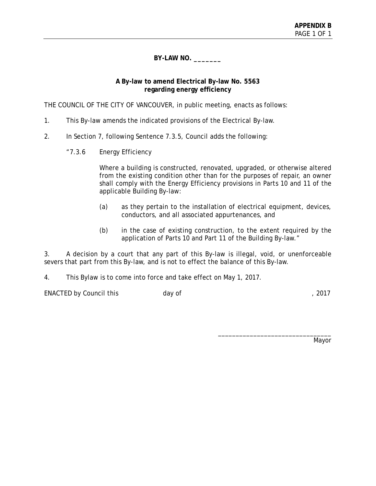**BY-LAW NO. \_\_\_\_\_\_\_** 

#### **A By-law to amend Electrical By-law No. 5563 regarding energy efficiency**

THE COUNCIL OF THE CITY OF VANCOUVER, in public meeting, enacts as follows:

- 1. This By-law amends the indicated provisions of the Electrical By-law.
- 2. In Section 7, following Sentence 7.3.5, Council adds the following:
	- "7.3.6 Energy Efficiency

Where a building is constructed, renovated, upgraded, or otherwise altered from the existing condition other than for the purposes of repair, an owner shall comply with the Energy Efficiency provisions in Parts 10 and 11 of the applicable Building By-law:

- (a) as they pertain to the installation of electrical equipment, devices, conductors, and all associated appurtenances, and
- (b) in the case of existing construction, to the extent required by the application of Parts 10 and Part 11 of the Building By-law."

3. A decision by a court that any part of this By-law is illegal, void, or unenforceable severs that part from this By-law, and is not to effect the balance of this By-law.

4. This Bylaw is to come into force and take effect on May 1, 2017.

ENACTED by Council this day of the control of the control of the control of the control of the control of the control of the control of the control of the control of the control of the control of the control of the control

Mayor

\_\_\_\_\_\_\_\_\_\_\_\_\_\_\_\_\_\_\_\_\_\_\_\_\_\_\_\_\_\_\_\_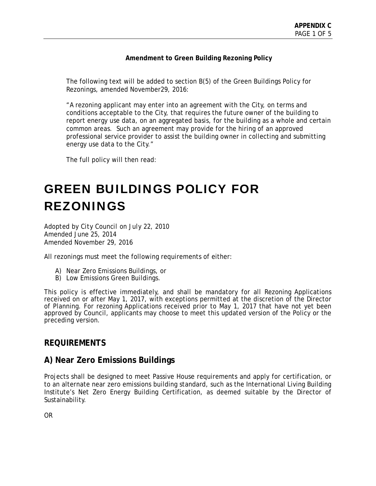#### **Amendment to Green Building Rezoning Policy**

The following text will be added to section B(5) of the Green Buildings Policy for Rezonings, amended November29, 2016:

"A rezoning applicant may enter into an agreement with the City, on terms and conditions acceptable to the City, that requires the future owner of the building to report energy use data, on an aggregated basis, for the building as a whole and certain common areas. Such an agreement may provide for the hiring of an approved professional service provider to assist the building owner in collecting and submitting energy use data to the City."

The full policy will then read:

# GREEN BUILDINGS POLICY FOR REZONINGS

*Adopted by City Council on July 22, 2010 Amended June 25, 2014 Amended November 29, 2016*

All rezonings must meet the following requirements of either:

- A) Near Zero Emissions Buildings, or
- B) Low Emissions Green Buildings.

This policy is effective immediately, and shall be mandatory for all Rezoning Applications received on or after May 1, 2017, with exceptions permitted at the discretion of the Director of Planning. For rezoning Applications received prior to May 1, 2017 that have not yet been approved by Council, applicants may choose to meet this updated version of the Policy or the preceding version.

# **REQUIREMENTS**

# **A) Near Zero Emissions Buildings**

Projects shall be designed to meet Passive House requirements and apply for certification, or to an alternate near zero emissions building standard, such as the International Living Building Institute's Net Zero Energy Building Certification, as deemed suitable by the Director of Sustainability.

OR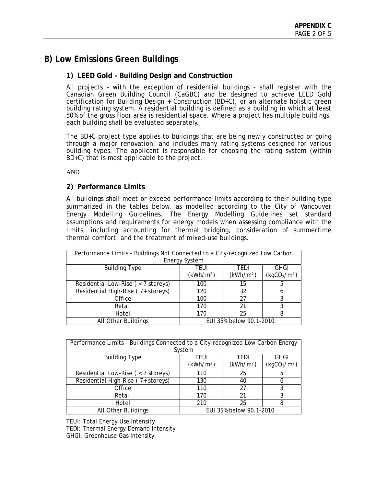# **B) Low Emissions Green Buildings**

# **1) LEED Gold - Building Design and Construction**

All projects – with the exception of residential buildings - shall register with the Canadian Green Building Council (CaGBC) and be designed to achieve LEED Gold certification for Building Design  $+$  Construction (BD $+C$ ), or an alternate holistic green building rating system. A residential building is defined as a building in which at least 50% of the gross floor area is residential space. Where a project has multiple buildings, each building shall be evaluated separately.

The BD+C project type applies to buildings that are being newly constructed or going through a major renovation, and includes many rating systems designed for various building types. The applicant is responsible for choosing the rating system (within BD+C) that is most applicable to the project.

AND

#### **2) Performance Limits**

All buildings shall meet or exceed performance limits according to their building type summarized in the tables below, as modelled according to the City of Vancouver Energy Modelling Guidelines. The Energy Modelling Guidelines set standard assumptions and requirements for energy models when assessing compliance with the limits, including accounting for thermal bridging, consideration of summertime thermal comfort, and the treatment of mixed-use buildings.

| Performance Limits - Buildings Not Connected to a City-recognized Low Carbon |                       |                         |                                      |  |  |  |  |
|------------------------------------------------------------------------------|-----------------------|-------------------------|--------------------------------------|--|--|--|--|
| <b>Energy System</b>                                                         |                       |                         |                                      |  |  |  |  |
| <b>Building Type</b>                                                         | TFUI                  | TFDI                    | <b>GHGI</b>                          |  |  |  |  |
|                                                                              | (kWh/m <sup>2</sup> ) | (kWh/m <sup>2</sup> )   | (kgCO <sub>2</sub> /m <sup>2</sup> ) |  |  |  |  |
| Residential Low-Rise ( $<$ 7 storeys)                                        | 100                   | 15                      | 5                                    |  |  |  |  |
| Residential High-Rise (7+ storeys)                                           | 120                   | 32                      | h                                    |  |  |  |  |
| Office                                                                       | 100                   | 27                      | 3                                    |  |  |  |  |
| Retail                                                                       | 170                   | 21                      | 3                                    |  |  |  |  |
| Hotel                                                                        | 170                   | 25                      | 8                                    |  |  |  |  |
| All Other Buildings                                                          |                       | EUI 35% below 90.1-2010 |                                      |  |  |  |  |

| Performance Limits - Buildings Connected to a City-recognized Low Carbon Energy |                       |                         |                                      |  |  |  |  |
|---------------------------------------------------------------------------------|-----------------------|-------------------------|--------------------------------------|--|--|--|--|
| System                                                                          |                       |                         |                                      |  |  |  |  |
| <b>Building Type</b>                                                            | teui                  | TEDI                    | <b>GHGI</b>                          |  |  |  |  |
|                                                                                 | (kWh/m <sup>2</sup> ) | (kWh/m <sup>2</sup> )   | (kgCO <sub>2</sub> /m <sup>2</sup> ) |  |  |  |  |
| Residential Low-Rise ( $<$ 7 storeys)                                           | 110                   | 25                      | 5                                    |  |  |  |  |
| Residential High-Rise (7+ storeys)                                              | 130                   | 40                      | h                                    |  |  |  |  |
| Office                                                                          | 110                   | 27                      | 3                                    |  |  |  |  |
| Retail                                                                          | 170                   | 21                      | 3                                    |  |  |  |  |
| Hotel                                                                           | 210                   | 25                      | 8                                    |  |  |  |  |
| All Other Buildings                                                             |                       | EUI 35% below 90.1-2010 |                                      |  |  |  |  |

TEUI: Total Energy Use Intensity

TEDI: Thermal Energy Demand Intensity

GHGI: Greenhouse Gas Intensity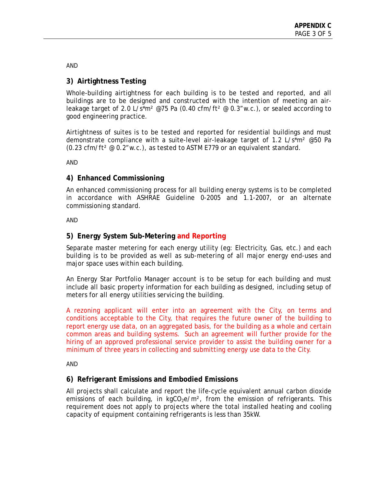AND

# **3) Airtightness Testing**

Whole-building airtightness for each building is to be tested and reported, and all buildings are to be designed and constructed with the intention of meeting an airleakage target of 2.0 L/s\*m<sup>2</sup> @75 Pa (0.40 cfm/ft<sup>2</sup> @ 0.3"w.c.), or sealed according to good engineering practice.

Airtightness of suites is to be tested and reported for residential buildings and must demonstrate compliance with a suite-level air-leakage target of 1.2 L/s\*m² @50 Pa (0.23 cfm/ft² @ 0.2"w.c.), as tested to ASTM E779 or an equivalent standard.

AND

# **4) Enhanced Commissioning**

An enhanced commissioning process for all building energy systems is to be completed in accordance with ASHRAE Guideline 0-2005 and 1.1-2007, or an alternate commissioning standard.

AND

# **5) Energy System Sub-Metering and Reporting**

Separate master metering for each energy utility (eg: Electricity, Gas, etc.) and each building is to be provided as well as sub-metering of all major energy end-uses and major space uses within each building.

An Energy Star Portfolio Manager account is to be setup for each building and must include all basic property information for each building as designed, including setup of meters for all energy utilities servicing the building.

A rezoning applicant will enter into an agreement with the City, on terms and conditions acceptable to the City, that requires the future owner of the building to report energy use data, on an aggregated basis, for the building as a whole and certain common areas and building systems. Such an agreement will further provide for the hiring of an approved professional service provider to assist the building owner for a minimum of three years in collecting and submitting energy use data to the City.

AND

# **6) Refrigerant Emissions and Embodied Emissions**

All projects shall calculate and report the life-cycle equivalent annual carbon dioxide emissions of each building, in kgCO<sub>2</sub>e/m<sup>2</sup>, from the emission of refrigerants. This requirement does not apply to projects where the total installed heating and cooling capacity of equipment containing refrigerants is less than 35kW.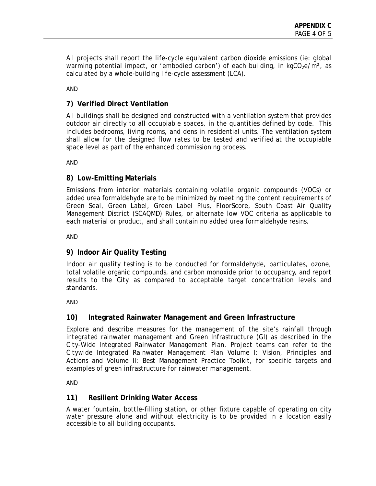All projects shall report the life-cycle equivalent carbon dioxide emissions (ie: global warming potential impact, or 'embodied carbon') of each building, in  $kgCO<sub>2</sub>e/m<sup>2</sup>$ , as calculated by a whole-building life-cycle assessment (LCA).

AND

# **7) Verified Direct Ventilation**

All buildings shall be designed and constructed with a ventilation system that provides outdoor air directly to all occupiable spaces, in the quantities defined by code. This includes bedrooms, living rooms, and dens in residential units. The ventilation system shall allow for the designed flow rates to be tested and verified at the occupiable space level as part of the enhanced commissioning process.

AND

# **8) Low-Emitting Materials**

Emissions from interior materials containing volatile organic compounds (VOCs) or added urea formaldehyde are to be minimized by meeting the content requirements of Green Seal, Green Label, Green Label Plus, FloorScore, South Coast Air Quality Management District (SCAQMD) Rules, or alternate low VOC criteria as applicable to each material or product, and shall contain no added urea formaldehyde resins.

AND

# **9) Indoor Air Quality Testing**

Indoor air quality testing is to be conducted for formaldehyde, particulates, ozone, total volatile organic compounds, and carbon monoxide prior to occupancy, and report results to the City as compared to acceptable target concentration levels and standards.

AND

# **10) Integrated Rainwater Management and Green Infrastructure**

Explore and describe measures for the management of the site's rainfall through integrated rainwater management and Green Infrastructure (GI) as described in the City-Wide Integrated Rainwater Management Plan. Project teams can refer to the Citywide Integrated Rainwater Management Plan Volume I: Vision, Principles and Actions and Volume II: Best Management Practice Toolkit, for specific targets and examples of green infrastructure for rainwater management.

AND

# **11) Resilient Drinking Water Access**

A water fountain, bottle-filling station, or other fixture capable of operating on city water pressure alone and without electricity is to be provided in a location easily accessible to all building occupants.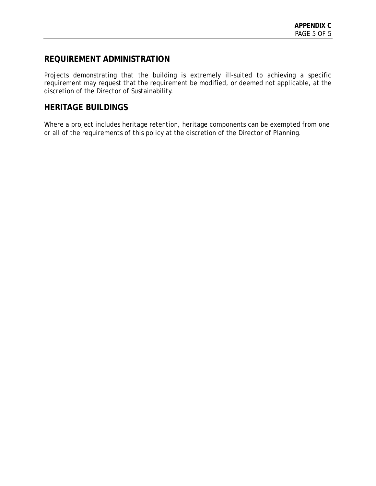# **REQUIREMENT ADMINISTRATION**

Projects demonstrating that the building is extremely ill-suited to achieving a specific requirement may request that the requirement be modified, or deemed not applicable, at the discretion of the Director of Sustainability.

# **HERITAGE BUILDINGS**

Where a project includes heritage retention, heritage components can be exempted from one or all of the requirements of this policy at the discretion of the Director of Planning.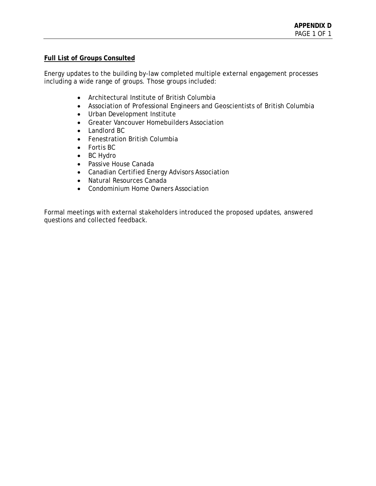#### **Full List of Groups Consulted**

Energy updates to the building by-law completed multiple external engagement processes including a wide range of groups. Those groups included:

- Architectural Institute of British Columbia
- Association of Professional Engineers and Geoscientists of British Columbia
- Urban Development Institute
- Greater Vancouver Homebuilders Association
- Landlord BC
- Fenestration British Columbia
- Fortis BC
- BC Hydro
- Passive House Canada
- Canadian Certified Energy Advisors Association
- Natural Resources Canada
- Condominium Home Owners Association

Formal meetings with external stakeholders introduced the proposed updates, answered questions and collected feedback.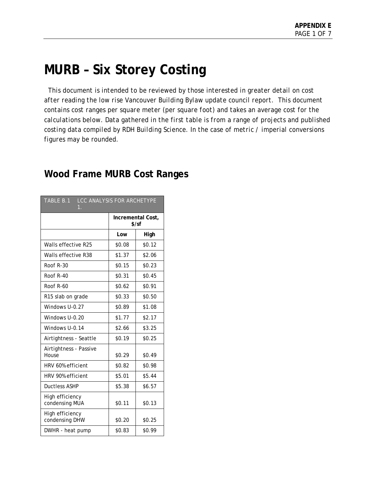# **MURB – Six Storey Costing**

 *This document is intended to be reviewed by those interested in greater detail on cost after reading the low rise Vancouver Building Bylaw update council report. This document contains cost ranges per square meter (per square foot) and takes an average cost for the calculations below. Data gathered in the first table is from a range of projects and published costing data compiled by RDH Building Science. In the case of metric / imperial conversions figures may be rounded.* 

| <b>LCC ANALYSIS FOR ARCHETYPE</b><br>TABLE B.1<br>$1_{-}$ |        |                              |  |
|-----------------------------------------------------------|--------|------------------------------|--|
|                                                           |        | Incremental Cost,<br>$$$ /sf |  |
|                                                           | Low    | High                         |  |
| Walls effective R25                                       | \$0.08 | \$0.12                       |  |
| Walls effective R38                                       | \$1.37 | \$2.06                       |  |
| Roof R-30                                                 | \$0.15 | \$0.23                       |  |
| Roof R-40                                                 | \$0.31 | \$0.45                       |  |
| Roof R-60                                                 | \$0.62 | \$0.91                       |  |
| R <sub>15</sub> slab on grade                             | \$0.33 | \$0.50                       |  |
| Windows U-0.27                                            | \$0.89 | \$1.08                       |  |
| Windows U-0.20                                            | \$1.77 | \$2.17                       |  |
| Windows U-0.14                                            | \$2.66 | \$3.25                       |  |
| Airtightness - Seattle                                    | \$0.19 | \$0.25                       |  |
| Airtightness - Passive<br>House                           | \$0.29 | \$0.49                       |  |
| HRV 60% efficient                                         | \$0.82 | \$0.98                       |  |
| HRV 90% efficient                                         | \$5.01 | \$5.44                       |  |
| Ductless ASHP                                             | \$5.38 | \$6.57                       |  |
| High efficiency<br>condensing MUA                         | \$0.11 | \$0.13                       |  |
| High efficiency<br>condensing DHW                         | \$0.20 | \$0.25                       |  |
| DWHR - heat pump                                          | \$0.83 | \$0.99                       |  |

# **Wood Frame MURB Cost Ranges**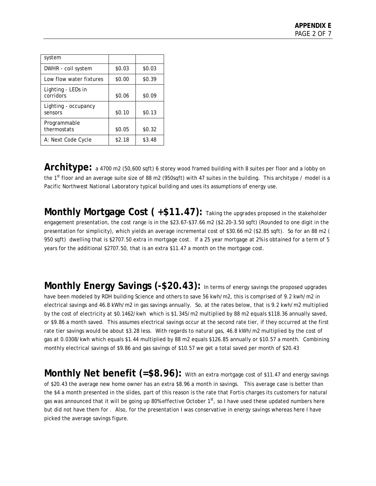| system                          |        |        |
|---------------------------------|--------|--------|
| DWHR - coil system              | \$0.03 | \$0.03 |
| Low flow water fixtures         | \$0.00 | \$0.39 |
| Lighting - LEDs in<br>corridors | \$0.06 | \$0.09 |
| Lighting - occupancy<br>sensors | \$0.10 | \$0.13 |
| Programmable<br>thermostats     | \$0.05 | \$0.32 |
| A: Next Code Cycle              | \$2.18 | \$3.48 |

Architype: a 4700 m2 (50,600 sqft) 6 storey wood framed building with 8 suites per floor and a lobby on the 1st floor and an average suite size of 88 m2 (950sqft) with 47 suites in the building. This architype / model is a Pacific Northwest National Laboratory typical building and uses its assumptions of energy use.

**Monthly Mortgage Cost (+\$11.47):** Taking the upgrades proposed in the stakeholder engagement presentation, the cost range is in the \$23.67-\$37.66 m2 (\$2.20-3.50 sqft) (Rounded to one digit in the presentation for simplicity), which yields an average incremental cost of \$30.66 m2 (\$2.85 sqft). So for an 88 m2 ( 950 sqft) dwelling that is \$2707.50 extra in mortgage cost. If a 25 year mortgage at 2% is obtained for a term of 5 years for the additional \$2707.50, that is an extra \$11.47 a month on the mortgage cost.

**Monthly Energy Savings (-\$20.43):** In terms of energy savings the proposed upgrades have been modeled by RDH building Science and others to save 56 kwh/m2, this is comprised of 9.2 kwh/m2 in electrical savings and 46.8 kWh/m2 in gas savings annually. So, at the rates below, that is 9.2 kwh/m2 multiplied by the cost of electricity at \$0.1462/kwh which is \$1.345/m2 multiplied by 88 m2 equals \$118.36 annually saved, or \$9.86 a month saved. This assumes electrical savings occur at the second rate tier, if they occurred at the first rate tier savings would be about \$3.28 less. With regards to natural gas, 46.8 kWh/m2 multiplied by the cost of gas at 0.0308/kwh which equals \$1.44 multiplied by 88 m2 equals \$126.85 annually or \$10.57 a month. Combining monthly electrical savings of \$9.86 and gas savings of \$10.57 we get a total saved per month of \$20.43

**Monthly Net benefit (=\$8.96):** With an extra mortgage cost of \$11.47 and energy savings of \$20.43 the average new home owner has an extra \$8.96 a month in savings. This average case is better than the \$4 a month presented in the slides, part of this reason is the rate that Fortis charges its customers for natural gas was announced that it will be going up 80% effective October  $1<sup>st</sup>$ , so I have used these updated numbers here but did not have them for . Also, for the presentation I was conservative in energy savings whereas here I have picked the average savings figure.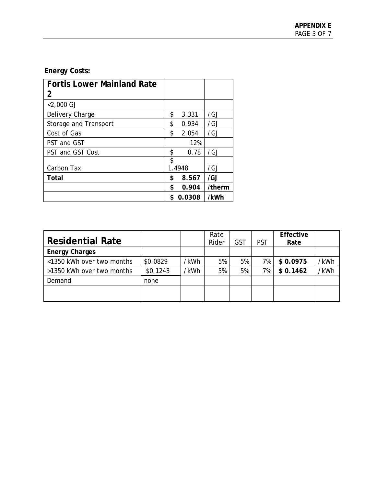# **Energy Costs:**

| Fortis Lower Mainland Rate   |    |        |                 |
|------------------------------|----|--------|-----------------|
| 2                            |    |        |                 |
| $<$ 2,000 GJ                 |    |        |                 |
| Delivery Charge              | \$ | 3.331  | /GJ             |
| <b>Storage and Transport</b> | \$ | 0.934  | /GJ             |
| Cost of Gas                  | \$ | 2.054  | /GJ             |
| PST and GST                  |    | 12%    |                 |
| PST and GST Cost             | \$ | 0.78   | /G <sub>1</sub> |
|                              | \$ |        |                 |
| Carbon Tax                   |    | 1.4948 | /GJ             |
| Total                        | \$ | 8.567  | /GJ             |
|                              | \$ | 0.904  | /therm          |
|                              | S  | 0.0308 | /kWh            |

| <b>Residential Rate</b>   |          |      | Rate<br>Rider | <b>GST</b> | <b>PST</b> | Effective<br>Rate |      |
|---------------------------|----------|------|---------------|------------|------------|-------------------|------|
| <b>Energy Charges</b>     |          |      |               |            |            |                   |      |
| <1350 kWh over two months | \$0.0829 | /kWh | 5%            | 5%         | 7%         | \$0.0975          | /kWh |
| >1350 kWh over two months | \$0.1243 | /kWh | 5%            | 5%         | 7%         | \$0.1462          | /kWh |
| Demand                    | none     |      |               |            |            |                   |      |
|                           |          |      |               |            |            |                   |      |
|                           |          |      |               |            |            |                   |      |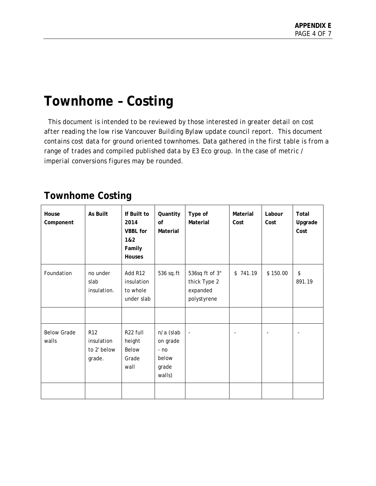# **Townhome – Costing**

 *This document is intended to be reviewed by those interested in greater detail on cost after reading the low rise Vancouver Building Bylaw update council report. This document contains cost data for ground oriented townhomes. Data gathered in the first table is from a range of trades and compiled published data by E3 Eco group. In the case of metric / imperial conversions figures may be rounded.* 

# **Townhome Costing**

| House<br>Component          | As Built                                               | If Built to<br>2014<br><b>VBBL</b> for<br>1&2<br>Family<br>Houses | Quantity<br>of<br>Material                                  | Type of<br>Material                                       | Material<br>Cost | Labour<br>Cost | Total<br>Upgrade<br>Cost |
|-----------------------------|--------------------------------------------------------|-------------------------------------------------------------------|-------------------------------------------------------------|-----------------------------------------------------------|------------------|----------------|--------------------------|
| Foundation                  | no under<br>slab<br>insulation.                        | Add R12<br>insulation<br>to whole<br>under slab                   | 536 sq.ft                                                   | 536sq ft of 3"<br>thick Type 2<br>expanded<br>polystyrene | 741.19<br>\$     | \$150.00       | \$<br>891.19             |
| <b>Below Grade</b><br>walls | R <sub>12</sub><br>insulation<br>to 2' below<br>grade. | R22 full<br>height<br>Below<br>Grade<br>wall                      | n/a (slab<br>on grade<br>$- no$<br>below<br>grade<br>walls) | $\Box$                                                    |                  |                |                          |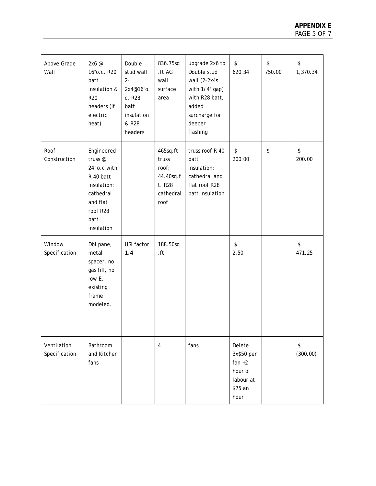| Above Grade<br>Wall          | 2x6@<br>16" o.c. R20<br>batt<br>insulation &<br><b>R20</b><br>headers (if<br>electric<br>heat)                              | Double<br>stud wall<br>$2-$<br>2x4@16"o.<br>c. R28<br>batt<br>insulation<br>& R28<br>headers | 836.75sq<br>.ft AG<br>wall<br>surface<br>area                          | upgrade 2x6 to<br>Double stud<br>wall (2-2x4s<br>with 1/4" gap)<br>with R28 batt,<br>added<br>surcharge for<br>deeper<br>flashing | \$<br>620.34                                                                | $\boldsymbol{\$}$<br>750.00 | \$<br>1,370.34 |
|------------------------------|-----------------------------------------------------------------------------------------------------------------------------|----------------------------------------------------------------------------------------------|------------------------------------------------------------------------|-----------------------------------------------------------------------------------------------------------------------------------|-----------------------------------------------------------------------------|-----------------------------|----------------|
| Roof<br>Construction         | Engineered<br>truss@<br>24" o.c with<br>R 40 batt<br>insulation;<br>cathedral<br>and flat<br>roof R28<br>batt<br>insulation |                                                                                              | 465sq.ft<br>truss<br>roof;<br>44.40sq.f<br>t. R28<br>cathedral<br>roof | truss roof R 40<br>batt<br>insulation;<br>cathedral and<br>flat roof R28<br>batt insulation                                       | \$<br>200.00                                                                | \$                          | \$<br>200.00   |
| Window<br>Specification      | Dbl pane,<br>metal<br>spacer, no<br>gas fill, no<br>low E,<br>existing<br>frame<br>modeled.                                 | USI factor:<br>1.4                                                                           | 188.50sq<br>$.$ ft.                                                    |                                                                                                                                   | $\boldsymbol{\mathsf{\$}}$<br>2.50                                          |                             | \$<br>471.25   |
| Ventilation<br>Specification | Bathroom<br>and Kitchen<br>fans                                                                                             |                                                                                              | $\overline{\mathbf{4}}$                                                | fans                                                                                                                              | Delete<br>3x\$50 per<br>$fan +2$<br>hour of<br>labour at<br>\$75 an<br>hour |                             | \$<br>(300.00) |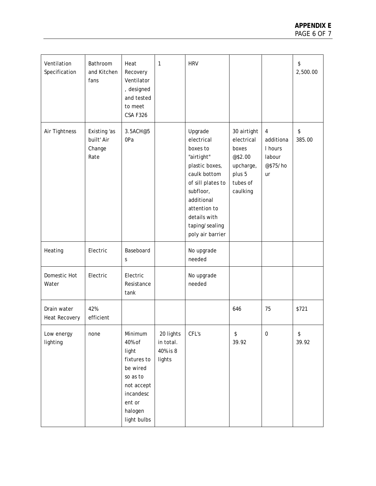| Ventilation<br>Specification        | Bathroom<br>and Kitchen<br>fans              | Heat<br>Recovery<br>Ventilator<br>, designed<br>and tested<br>to meet<br><b>CSA F326</b>                                         | $\mathbf{1}$                                 | <b>HRV</b>                                                                                                                                                                                              |                                                                                              |                                                               | \$<br>2,500.00 |
|-------------------------------------|----------------------------------------------|----------------------------------------------------------------------------------------------------------------------------------|----------------------------------------------|---------------------------------------------------------------------------------------------------------------------------------------------------------------------------------------------------------|----------------------------------------------------------------------------------------------|---------------------------------------------------------------|----------------|
| Air Tightness                       | Existing 'as<br>built' Air<br>Change<br>Rate | 3.5ACH@5<br>0Pa                                                                                                                  |                                              | Upgrade<br>electrical<br>boxes to<br>"airtight"<br>plastic boxes,<br>caulk bottom<br>of sill plates to<br>subfloor,<br>additional<br>attention to<br>details with<br>taping/sealing<br>poly air barrier | 30 airtight<br>electrical<br>boxes<br>@\$2.00<br>upcharge,<br>plus 5<br>tubes of<br>caulking | $\pmb{4}$<br>additiona<br>I hours<br>labour<br>@\$75/ho<br>ur | \$<br>385.00   |
| Heating                             | Electric                                     | Baseboard<br>S                                                                                                                   |                                              | No upgrade<br>needed                                                                                                                                                                                    |                                                                                              |                                                               |                |
| Domestic Hot<br>Water               | Electric                                     | Electric<br>Resistance<br>tank                                                                                                   |                                              | No upgrade<br>needed                                                                                                                                                                                    |                                                                                              |                                                               |                |
| Drain water<br><b>Heat Recovery</b> | 42%<br>efficient                             |                                                                                                                                  |                                              |                                                                                                                                                                                                         | 646                                                                                          | 75                                                            | \$721          |
| Low energy<br>lighting              | none                                         | Minimum<br>40% of<br>light<br>fixtures to<br>be wired<br>so as to<br>not accept<br>incandesc<br>ent or<br>halogen<br>light bulbs | 20 lights<br>in total.<br>40% is 8<br>lights | CFL's                                                                                                                                                                                                   | \$<br>39.92                                                                                  | $\boldsymbol{0}$                                              | \$<br>39.92    |